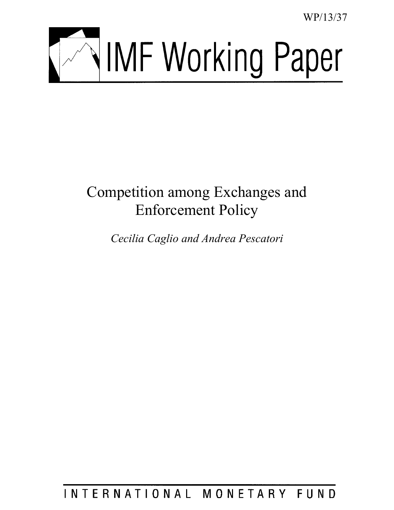WP/13/37



# Competition among Exchanges and Enforcement Policy

*Cecilia Caglio and Andrea Pescatori* 

INTERNATIONAL MONETARY FUND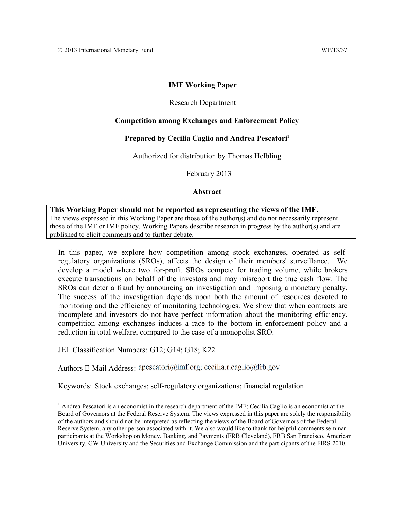# **IMF Working Paper**

# Research Department

# **Competition among Exchanges and Enforcement Policy**

# Prepared by Cecilia Caglio and Andrea Pescatori<sup>1</sup>

Authorized for distribution by Thomas Helbling

February 2013

## **Abstract**

**This Working Paper should not be reported as representing the views of the IMF.** The views expressed in this Working Paper are those of the author(s) and do not necessarily represent those of the IMF or IMF policy. Working Papers describe research in progress by the author(s) and are published to elicit comments and to further debate.

In this paper, we explore how competition among stock exchanges, operated as selfregulatory organizations (SROs), affects the design of their members' surveillance. We develop a model where two for-profit SROs compete for trading volume, while brokers execute transactions on behalf of the investors and may misreport the true cash flow. The SROs can deter a fraud by announcing an investigation and imposing a monetary penalty. The success of the investigation depends upon both the amount of resources devoted to monitoring and the efficiency of monitoring technologies. We show that when contracts are incomplete and investors do not have perfect information about the monitoring efficiency, competition among exchanges induces a race to the bottom in enforcement policy and a reduction in total welfare, compared to the case of a monopolist SRO.

JEL Classification Numbers: G12; G14; G18; K22

 $\overline{a}$ 

Authors E-Mail Address: apescatori@imf.org; cecilia.r.caglio@frb.gov

Keywords: Stock exchanges; self-regulatory organizations; financial regulation

<sup>&</sup>lt;sup>1</sup> Andrea Pescatori is an economist in the research department of the IMF; Cecilia Caglio is an economist at the Board of Governors at the Federal Reserve System. The views expressed in this paper are solely the responsibility of the authors and should not be interpreted as reflecting the views of the Board of Governors of the Federal Reserve System, any other person associated with it. We also would like to thank for helpful comments seminar participants at the Workshop on Money, Banking, and Payments (FRB Cleveland), FRB San Francisco, American University, GW University and the Securities and Exchange Commission and the participants of the FIRS 2010.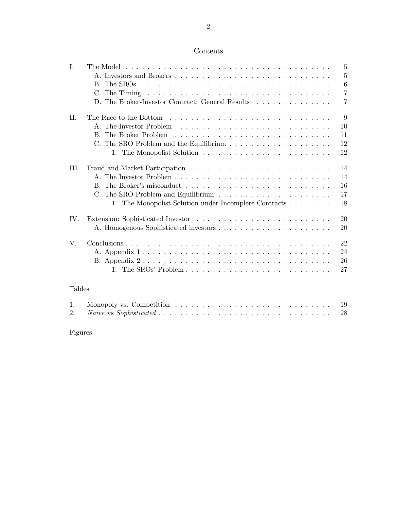# Contents

| I.             | $\overline{5}$                                                     |
|----------------|--------------------------------------------------------------------|
|                | 5                                                                  |
|                | 6<br>B. The SROs                                                   |
|                | $\overline{7}$                                                     |
|                | $\overline{7}$<br>D. The Broker-Investor Contract: General Results |
|                |                                                                    |
| H.             | 9                                                                  |
|                | 10                                                                 |
|                | B. The Broker Problem<br>11                                        |
|                | 12                                                                 |
|                | 12                                                                 |
|                |                                                                    |
| III.           | 14                                                                 |
|                | 14                                                                 |
|                | 16                                                                 |
|                | 17<br>C. The SRO Problem and Equilibrium                           |
|                | 1. The Monopolist Solution under Incomplete Contracts<br>18        |
|                |                                                                    |
| IV.            | 20                                                                 |
|                | 20                                                                 |
|                |                                                                    |
| V.             | 22                                                                 |
|                | 24                                                                 |
|                | 26                                                                 |
|                | 27                                                                 |
|                |                                                                    |
| <b>Tables</b>  |                                                                    |
|                |                                                                    |
| $\mathbf{1}$ . | 19                                                                 |
| 2.5            | 28                                                                 |

Figures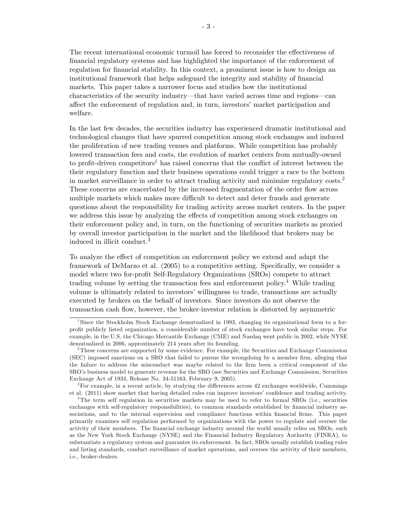The recent international economic turmoil has forced to reconsider the effectiveness of Önancial regulatory systems and has highlighted the importance of the enforcement of regulation for financial stability. In this context, a prominent issue is how to design an institutional framework that helps safeguard the integrity and stability of financial markets. This paper takes a narrower focus and studies how the institutional characteristics of the security industry—that have varied across time and regions—can affect the enforcement of regulation and, in turn, investors' market participation and welfare.

In the last few decades, the securities industry has experienced dramatic institutional and technological changes that have spurred competition among stock exchanges and induced the proliferation of new trading venues and platforms. While competition has probably lowered transaction fees and costs, the evolution of market centers from mutually-owned to profit-driven competitors<sup>1</sup> has raised concerns that the conflict of interest between the their regulatory function and their business operations could trigger a race to the bottom in market surveillance in order to attract trading activity and minimize regulatory  $\cos\lambda^2$ These concerns are exacerbated by the increased fragmentation of the order flow across multiple markets which makes more difficult to detect and deter frauds and generate questions about the responsibility for trading activity across market centers. In the paper we address this issue by analyzing the effects of competition among stock exchanges on their enforcement policy and, in turn, on the functioning of securities markets as proxied by overall investor participation in the market and the likelihood that brokers may be induced in illicit conduct.<sup>3</sup>

To analyze the effect of competition on enforcement policy we extend and adapt the framework of DeMarzo et al. (2005) to a competitive setting. Specifically, we consider a model where two for-profit Self-Regulatory Organizations (SROs) compete to attract trading volume by setting the transaction fees and enforcement policy.<sup>4</sup> While trading volume is ultimately related to investorsíwillingness to trade, transactions are actually executed by brokers on the behalf of investors. Since investors do not observe the transaction cash flow, however, the broker-investor relation is distorted by asymmetric

 ${}^{3}$  For example, in a recent article, by studying the differences across 42 exchanges worldwide, Cummings et al. (2011) show market that having detailed rules can improve investors' confidence and trading activity.

<sup>&</sup>lt;sup>1</sup>Since the Stockholm Stock Exchange demutualized in 1993, changing its organizational form to a forproÖt publicly listed organization, a considerable number of stock exchanges have took similar steps. For example, in the U.S. the Chicago Mercantile Exchange (CME) and Nasdaq went public in 2002, while NYSE demutualized in 2006, approximately 214 years after its founding.

<sup>&</sup>lt;sup>2</sup>These concerns are supported by some evidence. For example, the Securities and Exchange Commission (SEC) imposed sanctions on a SRO that failed to pursue the wrongdoing by a member firm, alleging that the failure to address the misconduct was maybe related to the firm been a critical component of the SROís business model to generate revenue for the SRO (see Securities and Exchange Commission, Securities Exchange Act of 1934, Release No. 34-51163, February 9, 2005).

<sup>&</sup>lt;sup>4</sup>The term self regulation in securities markets may be used to refer to formal SROs (i.e., securities exchanges with self-regulatory responsibilities), to common standards established by financial industry associations, and to the internal supervision and compliance functions within financial firms. This paper primarily examines self regulation performed by organizations with the power to regulate and oversee the activity of their members. The financial exchange industry around the world usually relies on SROs, such as the New York Stock Exchange (NYSE) and the Financial Industry Regulatory Authority (FINRA), to substantiate a regulatory system and guarantee its enforcement. In fact, SROs usually establish trading rules and listing standards, conduct surveillance of market operations, and oversee the activity of their members, i.e., broker-dealers.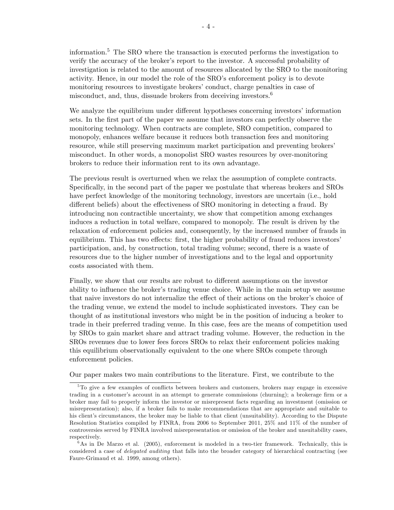information.<sup>5</sup> The SRO where the transaction is executed performs the investigation to verify the accuracy of the broker's report to the investor. A successful probability of investigation is related to the amount of resources allocated by the SRO to the monitoring activity. Hence, in our model the role of the SRO's enforcement policy is to devote monitoring resources to investigate brokers' conduct, charge penalties in case of misconduct, and, thus, dissuade brokers from deceiving investors.<sup>6</sup>

We analyze the equilibrium under different hypotheses concerning investors' information sets. In the Örst part of the paper we assume that investors can perfectly observe the monitoring technology. When contracts are complete, SRO competition, compared to monopoly, enhances welfare because it reduces both transaction fees and monitoring resource, while still preserving maximum market participation and preventing brokers<sup>'</sup> misconduct. In other words, a monopolist SRO wastes resources by over-monitoring brokers to reduce their information rent to its own advantage.

The previous result is overturned when we relax the assumption of complete contracts. Specifically, in the second part of the paper we postulate that whereas brokers and SROs have perfect knowledge of the monitoring technology, investors are uncertain (i.e., hold different beliefs) about the effectiveness of SRO monitoring in detecting a fraud. By introducing non contractible uncertainty, we show that competition among exchanges induces a reduction in total welfare, compared to monopoly. The result is driven by the relaxation of enforcement policies and, consequently, by the increased number of frauds in equilibrium. This has two effects: first, the higher probability of fraud reduces investors' participation, and, by construction, total trading volume; second, there is a waste of resources due to the higher number of investigations and to the legal and opportunity costs associated with them.

Finally, we show that our results are robust to different assumptions on the investor ability to influence the broker's trading venue choice. While in the main setup we assume that naive investors do not internalize the effect of their actions on the broker's choice of the trading venue, we extend the model to include sophisticated investors. They can be thought of as institutional investors who might be in the position of inducing a broker to trade in their preferred trading venue. In this case, fees are the means of competition used by SROs to gain market share and attract trading volume. However, the reduction in the SROs revenues due to lower fees forces SROs to relax their enforcement policies making this equilibrium observationally equivalent to the one where SROs compete through enforcement policies.

Our paper makes two main contributions to the literature. First, we contribute to the

 $5$ To give a few examples of conflicts between brokers and customers, brokers may engage in excessive trading in a customer's account in an attempt to generate commissions (churning); a brokerage firm or a broker may fail to properly inform the investor or misrepresent facts regarding an investment (omission or misrepresentation); also, if a broker fails to make recommendations that are appropriate and suitable to his client's circumstances, the broker may be liable to that client (unsuitability). According to the Dispute Resolution Statistics compiled by FINRA, from 2006 to September 2011, 25% and 11% of the number of controversies served by FINRA involved misrepresentation or omission of the broker and unsuitability cases, respectively.

 $6$ As in De Marzo et al. (2005), enforcement is modeled in a two-tier framework. Technically, this is considered a case of delegated auditing that falls into the broader category of hierarchical contracting (see Faure-Grimaud et al. 1999, among others).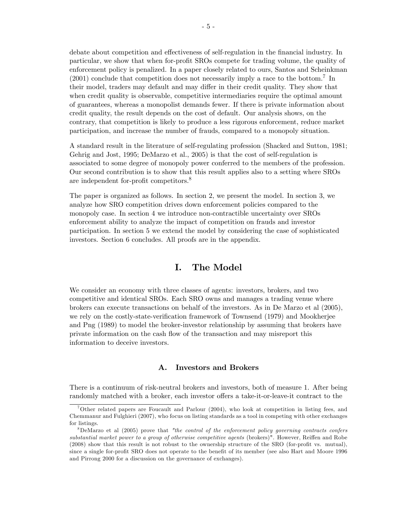debate about competition and effectiveness of self-regulation in the financial industry. In particular, we show that when for-profit SROs compete for trading volume, the quality of enforcement policy is penalized. In a paper closely related to ours, Santos and Scheinkman  $(2001)$  conclude that competition does not necessarily imply a race to the bottom.<sup>7</sup> In their model, traders may default and may differ in their credit quality. They show that when credit quality is observable, competitive intermediaries require the optimal amount of guarantees, whereas a monopolist demands fewer. If there is private information about credit quality, the result depends on the cost of default. Our analysis shows, on the contrary, that competition is likely to produce a less rigorous enforcement, reduce market participation, and increase the number of frauds, compared to a monopoly situation.

A standard result in the literature of self-regulating profession (Shacked and Sutton, 1981; Gehrig and Jost, 1995; DeMarzo et al., 2005) is that the cost of self-regulation is associated to some degree of monopoly power conferred to the members of the profession. Our second contribution is to show that this result applies also to a setting where SROs are independent for-profit competitors.<sup>8</sup>

The paper is organized as follows. In section 2, we present the model. In section 3, we analyze how SRO competition drives down enforcement policies compared to the monopoly case. In section 4 we introduce non-contractible uncertainty over SROs enforcement ability to analyze the impact of competition on frauds and investor participation. In section 5 we extend the model by considering the case of sophisticated investors. Section 6 concludes. All proofs are in the appendix.

# I. The Model

We consider an economy with three classes of agents: investors, brokers, and two competitive and identical SROs. Each SRO owns and manages a trading venue where brokers can execute transactions on behalf of the investors. As in De Marzo et al (2005), we rely on the costly-state-verification framework of Townsend (1979) and Mookherjee and Png (1989) to model the broker-investor relationship by assuming that brokers have private information on the cash áow of the transaction and may misreport this information to deceive investors.

#### A. Investors and Brokers

There is a continuum of risk-neutral brokers and investors, both of measure 1. After being randomly matched with a broker, each investor offers a take-it-or-leave-it contract to the

<sup>&</sup>lt;sup>7</sup>Other related papers are Foucault and Parlour (2004), who look at competition in listing fees, and Chemmanur and Fulghieri (2007), who focus on listing standards as a tool in competing with other exchanges for listings.

 $8De$ Marzo et al (2005) prove that "the control of the enforcement policy governing contracts confers substantial market power to a group of otherwise competitive agents (brokers)". However, Reiffen and Robe  $(2008)$  show that this result is not robust to the ownership structure of the SRO (for-profit vs. mutual), since a single for-profit SRO does not operate to the benefit of its member (see also Hart and Moore 1996) and Pirrong 2000 for a discussion on the governance of exchanges).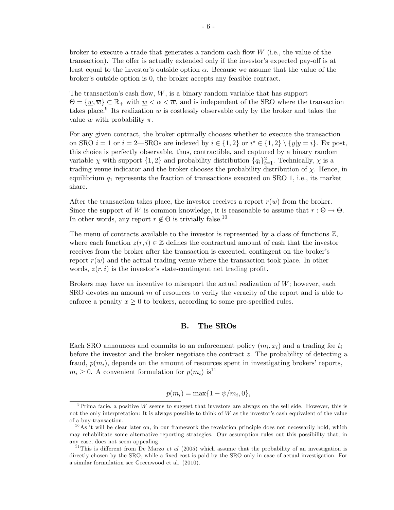broker to execute a trade that generates a random cash flow  $W$  (i.e., the value of the transaction). The offer is actually extended only if the investor's expected pay-off is at least equal to the investor's outside option  $\alpha$ . Because we assume that the value of the broker's outside option is 0, the broker accepts any feasible contract.

The transaction's cash flow,  $W$ , is a binary random variable that has support  $\Theta = {\omega, \overline{w}} \subset \mathbb{R}_+$  with  ${\omega < \alpha < \overline{w}}$ , and is independent of the SRO where the transaction takes place.<sup>9</sup> Its realization w is costlessly observable only by the broker and takes the value  $\underline{w}$  with probability  $\pi$ .

For any given contract, the broker optimally chooses whether to execute the transaction on SRO  $i = 1$  or  $i = 2$ —SROs are indexed by  $i \in \{1, 2\}$  or  $i^* \in \{1, 2\} \setminus \{y | y = i\}$ . Ex post, this choice is perfectly observable, thus, contractible, and captured by a binary random variable  $\chi$  with support  $\{1,2\}$  and probability distribution  $\{q_i\}_{i=1}^2$ . Technically,  $\chi$  is a trading venue indicator and the broker chooses the probability distribution of  $\chi$ . Hence, in equilibrium  $q_1$  represents the fraction of transactions executed on SRO 1, i.e., its market share.

After the transaction takes place, the investor receives a report  $r(w)$  from the broker. Since the support of W is common knowledge, it is reasonable to assume that  $r : \Theta \to \Theta$ . In other words, any report  $r \notin \Theta$  is trivially false.<sup>10</sup>

The menu of contracts available to the investor is represented by a class of functions  $\mathbb{Z}$ , where each function  $z(r, i) \in \mathbb{Z}$  defines the contractual amount of cash that the investor receives from the broker after the transaction is executed, contingent on the broker's report  $r(w)$  and the actual trading venue where the transaction took place. In other words,  $z(r, i)$  is the investor's state-contingent net trading profit.

Brokers may have an incentive to misreport the actual realization of  $W$ ; however, each  $SRO$  devotes an amount m of resources to verify the veracity of the report and is able to enforce a penalty  $x \geq 0$  to brokers, according to some pre-specified rules.

## B. The SROs

Each SRO announces and commits to an enforcement policy  $(m_i, x_i)$  and a trading fee  $t_i$ before the investor and the broker negotiate the contract  $z$ . The probability of detecting a fraud,  $p(m_i)$ , depends on the amount of resources spent in investigating brokers' reports,  $m_i \geq 0$ . A convenient formulation for  $p(m_i)$  is<sup>11</sup>

$$
p(m_i) = \max\{1 - \psi/m_i, 0\},\
$$

 $9$ Prima facie, a positive W seems to suggest that investors are always on the sell side. However, this is not the only interpretation: It is always possible to think of  $W$  as the investor's cash equivalent of the value of a buy-transaction.

 $10$ As it will be clear later on, in our framework the revelation principle does not necessarily hold, which may rehabilitate some alternative reporting strategies. Our assumption rules out this possibility that, in any case, does not seem appealing.

<sup>&</sup>lt;sup>11</sup>This is different from De Marzo *et al* (2005) which assume that the probability of an investigation is directly chosen by the SRO, while a fixed cost is paid by the SRO only in case of actual investigation. For a similar formulation see Greenwood et al. (2010).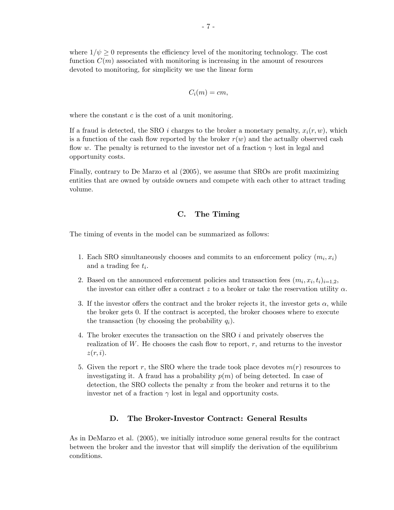where  $1/\psi \geq 0$  represents the efficiency level of the monitoring technology. The cost function  $C(m)$  associated with monitoring is increasing in the amount of resources devoted to monitoring, for simplicity we use the linear form

$$
C_i(m)=cm,
$$

where the constant  $c$  is the cost of a unit monitoring.

If a fraud is detected, the SRO i charges to the broker a monetary penalty,  $x_i(r, w)$ , which is a function of the cash flow reported by the broker  $r(w)$  and the actually observed cash flow w. The penalty is returned to the investor net of a fraction  $\gamma$  lost in legal and opportunity costs.

Finally, contrary to De Marzo et al (2005), we assume that SROs are profit maximizing entities that are owned by outside owners and compete with each other to attract trading volume.

#### C. The Timing

The timing of events in the model can be summarized as follows:

- 1. Each SRO simultaneously chooses and commits to an enforcement policy  $(m_i, x_i)$ and a trading fee  $t_i$ .
- 2. Based on the announced enforcement policies and transaction fees  $(m_i, x_i, t_i)_{i=1,2}$ , the investor can either offer a contract z to a broker or take the reservation utility  $\alpha$ .
- 3. If the investor offers the contract and the broker rejects it, the investor gets  $\alpha$ , while the broker gets 0. If the contract is accepted, the broker chooses where to execute the transaction (by choosing the probability  $q_i$ ).
- 4. The broker executes the transaction on the SRO i and privately observes the realization of  $W$ . He chooses the cash flow to report,  $r$ , and returns to the investor  $z(r, i)$ .
- 5. Given the report r, the SRO where the trade took place devotes  $m(r)$  resources to investigating it. A fraud has a probability  $p(m)$  of being detected. In case of detection, the SRO collects the penalty  $x$  from the broker and returns it to the investor net of a fraction  $\gamma$  lost in legal and opportunity costs.

#### D. The Broker-Investor Contract: General Results

As in DeMarzo et al. (2005), we initially introduce some general results for the contract between the broker and the investor that will simplify the derivation of the equilibrium conditions.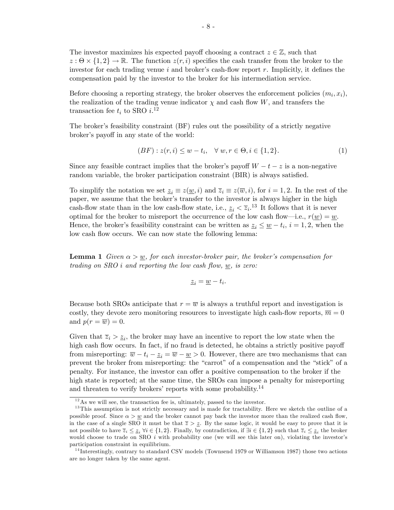The investor maximizes his expected payoff choosing a contract  $z \in \mathbb{Z}$ , such that  $z : \Theta \times \{1,2\} \to \mathbb{R}$ . The function  $z(r, i)$  specifies the cash transfer from the broker to the investor for each trading venue i and broker's cash-flow report  $r$ . Implicitly, it defines the compensation paid by the investor to the broker for his intermediation service.

Before choosing a reporting strategy, the broker observes the enforcement policies  $(m_i, x_i)$ , the realization of the trading venue indicator  $\chi$  and cash flow W, and transfers the transaction fee  $t_i$  to SRO  $i.^{12}$ 

The broker's feasibility constraint (BF) rules out the possibility of a strictly negative broker's payoff in any state of the world:

$$
(BF): z(r, i) \le w - t_i, \quad \forall w, r \in \Theta, i \in \{1, 2\}.
$$
 (1)

Since any feasible contract implies that the broker's payoff  $W - t - z$  is a non-negative random variable, the broker participation constraint (BIR) is always satisfied.

To simplify the notation we set  $z_i \equiv z(\underline{w}, i)$  and  $\overline{z}_i \equiv z(\overline{w}, i)$ , for  $i = 1, 2$ . In the rest of the paper, we assume that the brokerís transfer to the investor is always higher in the high cash-flow state than in the low cash-flow state, i.e.,  $z_i < \overline{z}_i$ .<sup>13</sup> It follows that it is never optimal for the broker to misreport the occurrence of the low cash flow—i.e.,  $r(\underline{w}) = \underline{w}$ . Hence, the broker's feasibility constraint can be written as  $z_i \leq \underline{w} - t_i$ ,  $i = 1, 2$ , when the low cash flow occurs. We can now state the following lemma:

**Lemma 1** Given  $\alpha > w$ , for each investor-broker pair, the broker's compensation for trading on  $SRO$  i and reporting the low cash flow, w, is zero:

$$
\underline{z}_i = \underline{w} - t_i.
$$

Because both SROs anticipate that  $r = \overline{w}$  is always a truthful report and investigation is costly, they devote zero monitoring resources to investigate high cash-flow reports,  $\overline{m} = 0$ and  $p(r = \overline{w}) = 0$ .

Given that  $\overline{z}_i > \underline{z}_i$ , the broker may have an incentive to report the low state when the high cash flow occurs. In fact, if no fraud is detected, he obtains a strictly positive payoff from misreporting:  $\overline{w} - t_i - \underline{z}_i = \overline{w} - \underline{w} > 0$ . However, there are two mechanisms that can prevent the broker from misreporting: the "carrot" of a compensation and the "stick" of a penalty. For instance, the investor can offer a positive compensation to the broker if the high state is reported; at the same time, the SROs can impose a penalty for misreporting and threaten to verify brokers' reports with some probability.<sup>14</sup>

 $12$ As we will see, the transaction fee is, ultimately, passed to the investor.

<sup>&</sup>lt;sup>13</sup>This assumption is not strictly necessary and is made for tractability. Here we sketch the outline of a possible proof. Since  $\alpha > w$  and the broker cannot pay back the investor more than the realized cash flow, in the case of a single SRO it must be that  $\overline{z} > z$ . By the same logic, it would be easy to prove that it is not possible to have  $\overline{z}_i \leq \underline{z}_i \ \forall i \in \{1,2\}$ . Finally, by contradiction, if  $\exists i \in \{1,2\}$  such that  $\overline{z}_i \leq \underline{z}_i$  the broker would choose to trade on SRO  $i$  with probability one (we will see this later on), violating the investor's participation constraint in equilibrium.

<sup>&</sup>lt;sup>14</sup> Interestingly, contrary to standard CSV models (Townsend 1979 or Williamson 1987) those two actions are no longer taken by the same agent.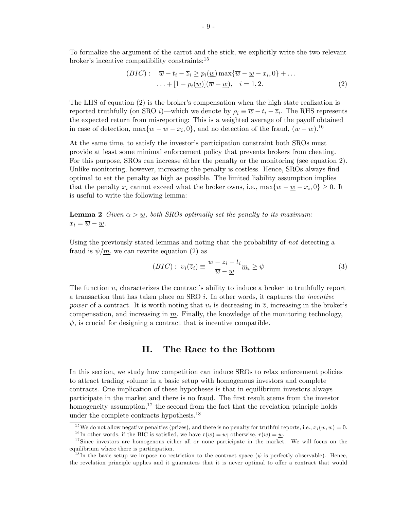To formalize the argument of the carrot and the stick, we explicitly write the two relevant broker's incentive compatibility constraints:<sup>15</sup>

$$
(BIC): \quad \overline{w} - t_i - \overline{z}_i \ge p_i(\underline{w}) \max{\overline{w} - \underline{w} - x_i, 0} + \dots
$$

$$
\dots + [1 - p_i(\underline{w})](\overline{w} - \underline{w}), \quad i = 1, 2. \tag{2}
$$

The LHS of equation  $(2)$  is the broker's compensation when the high state realization is reported truthfully (on SRO *i*)—which we denote by  $\rho_i \equiv \overline{w} - t_i - \overline{z}_i$ . The RHS represents the expected return from misreporting: This is a weighted average of the payoff obtained in case of detection,  $\max\{\overline{w} - \underline{w} - x_i, 0\}$ , and no detection of the fraud,  $(\overline{w} - \underline{w})$ .<sup>16</sup>

At the same time, to satisfy the investor's participation constraint both SROs must provide at least some minimal enforcement policy that prevents brokers from cheating. For this purpose, SROs can increase either the penalty or the monitoring (see equation 2). Unlike monitoring, however, increasing the penalty is costless. Hence, SROs always find optimal to set the penalty as high as possible. The limited liability assumption implies that the penalty  $x_i$  cannot exceed what the broker owns, i.e.,  $\max\{\overline{w} - \underline{w} - x_i, 0\} \ge 0$ . It is useful to write the following lemma:

**Lemma 2** Given  $\alpha > w$ , both SROs optimally set the penalty to its maximum:  $x_i = \overline{w} - w.$ 

Using the previously stated lemmas and noting that the probability of *not* detecting a fraud is  $\psi/m$ , we can rewrite equation (2) as

$$
(BIC): v_i(\overline{z}_i) \equiv \frac{\overline{w} - \overline{z}_i - t_i}{\overline{w} - \underline{w}} \underline{m}_i \ge \psi \tag{3}
$$

The function  $v_i$  characterizes the contract's ability to induce a broker to truthfully report a transaction that has taken place on  $SRO$  i. In other words, it captures the *incentive* power of a contract. It is worth noting that  $v_i$  is decreasing in  $\overline{z}$ , increasing in the broker's compensation, and increasing in  $m$ . Finally, the knowledge of the monitoring technology,  $\psi$ , is crucial for designing a contract that is incentive compatible.

## II. The Race to the Bottom

In this section, we study how competition can induce SROs to relax enforcement policies to attract trading volume in a basic setup with homogenous investors and complete contracts. One implication of these hypotheses is that in equilibrium investors always participate in the market and there is no fraud. The Örst result stems from the investor homogeneity assumption,  $17$  the second from the fact that the revelation principle holds under the complete contracts hypothesis.<sup>18</sup>

<sup>&</sup>lt;sup>15</sup>We do not allow negative penalties (prizes), and there is no penalty for truthful reports, i.e.,  $x_i(w, w) = 0$ .

<sup>&</sup>lt;sup>16</sup>In other words, if the BIC is satisfied, we have  $r(\overline{w}) = \overline{w}$ ; otherwise,  $r(\overline{w}) = \underline{w}$ .

<sup>&</sup>lt;sup>17</sup>Since investors are homogenous either all or none participate in the market. We will focus on the equilibrium where there is participation.

<sup>&</sup>lt;sup>18</sup>In the basic setup we impose no restriction to the contract space ( $\psi$  is perfectly observable). Hence, the revelation principle applies and it guarantees that it is never optimal to offer a contract that would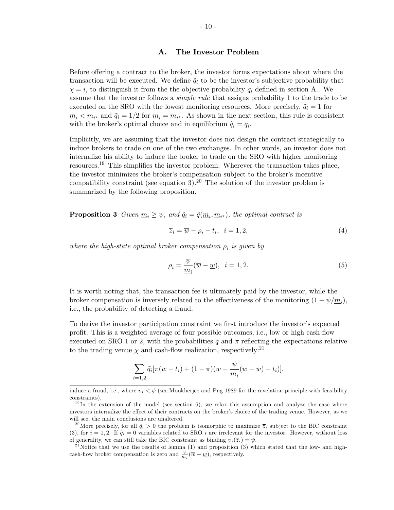#### A. The Investor Problem

Before offering a contract to the broker, the investor forms expectations about where the transaction will be executed. We define  $\tilde{q}_i$  to be the investor's subjective probability that  $\chi = i$ , to distinguish it from the the objective probability  $q_i$  defined in section A.. We assume that the investor follows a *simple rule* that assigns probability 1 to the trade to be executed on the SRO with the lowest monitoring resources. More precisely,  $\tilde{q}_i = 1$  for  $\underline{m}_i < \underline{m}_{i^*}$  and  $\tilde{q}_i = 1/2$  for  $\underline{m}_i = \underline{m}_{i^*}$ . As shown in the next section, this rule is consistent with the broker's optimal choice and in equilibrium  $\tilde{q}_i = q_i$ .

Implicitly, we are assuming that the investor does not design the contract strategically to induce brokers to trade on one of the two exchanges. In other words, an investor does not internalize his ability to induce the broker to trade on the SRO with higher monitoring resources.<sup>19</sup> This simplifies the investor problem: Wherever the transaction takes place, the investor minimizes the broker's compensation subject to the broker's incentive compatibility constraint (see equation 3).<sup>20</sup> The solution of the investor problem is summarized by the following proposition.

**Proposition 3** Given  $\underline{m}_i \geq \psi$ , and  $\tilde{q}_i = \tilde{q}(\underline{m}_i, \underline{m}_{i^*})$ , the optimal contract is

$$
\overline{z}_i = \overline{w} - \rho_i - t_i, \quad i = 1, 2,
$$
\n<sup>(4)</sup>

where the high-state optimal broker compensation  $\rho_i$  is given by

$$
\rho_i = \frac{\psi}{m_i} (\overline{w} - \underline{w}), \quad i = 1, 2. \tag{5}
$$

It is worth noting that, the transaction fee is ultimately paid by the investor, while the broker compensation is inversely related to the effectiveness of the monitoring  $(1 - \psi/m_i)$ , i.e., the probability of detecting a fraud.

To derive the investor participation constraint we first introduce the investor's expected profit. This is a weighted average of four possible outcomes, i.e., low or high cash flow executed on SRO 1 or 2, with the probabilities  $\tilde{q}$  and  $\pi$  reflecting the expectations relative to the trading venue  $\chi$  and cash-flow realization, respectively:<sup>21</sup>

$$
\sum_{i=1,2} \tilde{q}_i [\pi(\underline{w}-t_i) + (1-\pi)(\overline{w}-\frac{\psi}{\underline{m}_i}(\overline{w}-\underline{w})-t_i)].
$$

induce a fraud, i.e., where  $v_i < \psi$  (see Mookherjee and Png 1989 for the revelation principle with feasibility constraints).

 $19$ In the extension of the model (see section 6), we relax this assumption and analyze the case where investors internalize the effect of their contracts on the broker's choice of the trading venue. However, as we will see, the main conclusions are unaltered.

<sup>&</sup>lt;sup>20</sup>More precisely, for all  $\tilde{q}_i > 0$  the problem is isomorphic to maximize  $\overline{z}_i$  subject to the BIC constraint (3), for  $i = 1, 2$ . If  $\tilde{q}_i = 0$  variables related to SRO i are irrelevant for the investor. However, without loss of generality, we can still take the BIC constraint as binding  $v_i(\overline{z}_i) = \psi$ .

<sup>&</sup>lt;sup>21</sup>Notice that we use the results of lemma  $(1)$  and proposition  $(3)$  which stated that the low- and highcash-flow broker compensation is zero and  $\frac{\psi}{m_i}(\overline{w}-\underline{w})$ , respectively.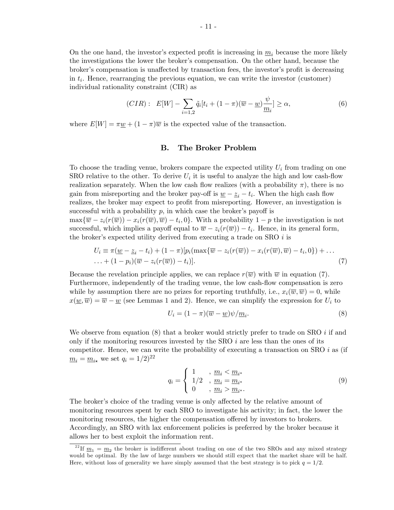On the one hand, the investor's expected profit is increasing in  $m_i$  because the more likely the investigations the lower the broker's compensation. On the other hand, because the broker's compensation is unaffected by transaction fees, the investor's profit is decreasing in  $t_i$ . Hence, rearranging the previous equation, we can write the investor (customer) individual rationality constraint (CIR) as

$$
(CIR): \ E[W] - \sum_{i=1,2} \tilde{q}_i[t_i + (1-\pi)(\overline{w} - \underline{w})\frac{\psi}{m_i}] \ge \alpha, \tag{6}
$$

where  $E[W] = \pi \underline{w} + (1 - \pi)\overline{w}$  is the expected value of the transaction.

## B. The Broker Problem

To choose the trading venue, brokers compare the expected utility  $U_i$  from trading on one SRO relative to the other. To derive  $U_i$  it is useful to analyze the high and low cash-flow realization separately. When the low cash flow realizes (with a probability  $\pi$ ), there is no gain from misreporting and the broker pay-off is  $\underline{w} - \underline{z}_i - t_i$ . When the high cash flow realizes, the broker may expect to profit from misreporting. However, an investigation is successful with a probability  $p$ , in which case the broker's payoff is  $\max\{\overline{w} - z_i(r(\overline{w})) - x_i(r(\overline{w}), \overline{w}) - t_i, 0\}.$  With a probability  $1 - p$  the investigation is not successful, which implies a payoff equal to  $\overline{w} - z_i(r(\overline{w})) - t_i$ . Hence, in its general form, the broker's expected utility derived from executing a trade on SRO  $i$  is

$$
U_i \equiv \pi(\underline{w} - \underline{z}_i - t_i) + (1 - \pi)[p_i(\max\{\overline{w} - z_i(r(\overline{w})) - x_i(r(\overline{w}), \overline{w}) - t_i, 0\}) + \dots \dots + (1 - p_i)(\overline{w} - z_i(r(\overline{w})) - t_i)].
$$
\n(7)

Because the revelation principle applies, we can replace  $r(\overline{w})$  with  $\overline{w}$  in equation (7). Furthermore, independently of the trading venue, the low cash-flow compensation is zero while by assumption there are no prizes for reporting truthfully, i.e.,  $x_i(\overline{w}, \overline{w}) = 0$ , while  $x(\underline{w}, \overline{w}) = \overline{w} - \underline{w}$  (see Lemmas 1 and 2). Hence, we can simplify the expression for  $U_i$  to

$$
U_i = (1 - \pi)(\overline{w} - \underline{w})\psi/\underline{m}_i.
$$
\n(8)

We observe from equation  $(8)$  that a broker would strictly prefer to trade on SRO i if and only if the monitoring resources invested by the SRO  $i$  are less than the ones of its competitor. Hence, we can write the probability of executing a transaction on SRO  $i$  as (if  $m_i = m_{i\star}$  we set  $q_i = 1/2)^{22}$ 

$$
q_i = \begin{cases} 1, & \frac{m_i < m_{i^*}}{1/2}, \\ 1/2, & \frac{m_i}{m_i} = \frac{m_{i^*}}{1/2}}{1/2}, \\ 0, & \frac{m_i}{m_i} > \frac{m_{i^*}}{1/2}. \end{cases} \tag{9}
$$

The broker's choice of the trading venue is only affected by the relative amount of monitoring resources spent by each SRO to investigate his activity; in fact, the lower the monitoring resources, the higher the compensation offered by investors to brokers. Accordingly, an SRO with lax enforcement policies is preferred by the broker because it allows her to best exploit the information rent.

<sup>&</sup>lt;sup>22</sup>If  $\underline{m}_1 = \underline{m}_2$  the broker is indifferent about trading on one of the two SROs and any mixed strategy would be optimal. By the law of large numbers we should still expect that the market share will be half. Here, without loss of generality we have simply assumed that the best strategy is to pick  $q = 1/2$ .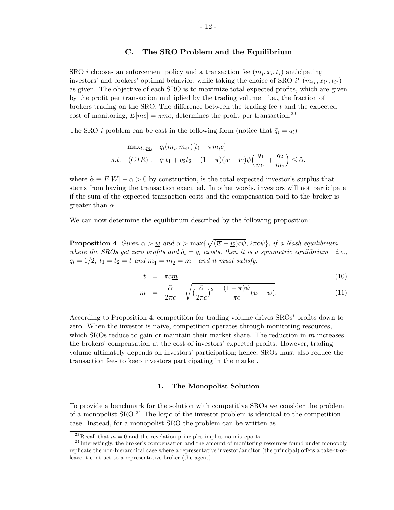#### C. The SRO Problem and the Equilibrium

SRO *i* chooses an enforcement policy and a transaction fee  $(\underline{m}_i, x_i, t_i)$  anticipating investors' and brokers' optimal behavior, while taking the choice of SRO  $i^*$   $(\underline{m}_{i*}, x_{i^*}, t_{i^*})$ as given. The objective of each SRO is to maximize total expected profits, which are given by the profit per transaction multiplied by the trading volume—i.e., the fraction of brokers trading on the SRO. The difference between the trading fee  $t$  and the expected cost of monitoring,  $E[mc] = \pi \underline{mc}$ , determines the profit per transaction.<sup>23</sup>

The SRO *i* problem can be cast in the following form (notice that  $\tilde{q}_i = q_i$ )

$$
\max_{t_i, \underline{m}_i} q_i(\underline{m}_i; \underline{m}_{i^\star})[t_i - \pi \underline{m}_i c]
$$
  
s.t. 
$$
(CIR): q_1t_1 + q_2t_2 + (1 - \pi)(\overline{w} - \underline{w})\psi\left(\frac{q_1}{\underline{m}_1} + \frac{q_2}{\underline{m}_2}\right) \leq \tilde{\alpha},
$$

where  $\tilde{\alpha} \equiv E[W] - \alpha > 0$  by construction, is the total expected investor's surplus that stems from having the transaction executed. In other words, investors will not participate if the sum of the expected transaction costs and the compensation paid to the broker is greater than  $\tilde{\alpha}$ .

We can now determine the equilibrium described by the following proposition:

**Proposition 4** Given  $\alpha > \underline{w}$  and  $\tilde{\alpha} > \max\{\sqrt{(\overline{w} - \underline{w})c\psi}, 2\pi c\psi\}$ , if a Nash equilibrium where the SROs get zero profits and  $\tilde{q}_i = q_i$  exists, then it is a symmetric equilibrium—i.e.,  $q_i = 1/2, t_1 = t_2 = t$  and  $m_1 = m_2 = m$  and it must satisfy:

$$
t = \pi c \underline{m} \tag{10}
$$

$$
\underline{m} = \frac{\tilde{\alpha}}{2\pi c} - \sqrt{\left(\frac{\tilde{\alpha}}{2\pi c}\right)^2 - \frac{(1-\pi)\psi}{\pi c}(\overline{w} - \underline{w})}.
$$
\n(11)

According to Proposition 4, competition for trading volume drives SROs' profits down to zero. When the investor is naive, competition operates through monitoring resources, which SROs reduce to gain or maintain their market share. The reduction in  $m$  increases the brokers' compensation at the cost of investors' expected profits. However, trading volume ultimately depends on investors' participation; hence, SROs must also reduce the transaction fees to keep investors participating in the market.

#### 1. The Monopolist Solution

To provide a benchmark for the solution with competitive SROs we consider the problem of a monopolist  $SRO<sup>24</sup>$ . The logic of the investor problem is identical to the competition case. Instead, for a monopolist SRO the problem can be written as

<sup>&</sup>lt;sup>23</sup>Recall that  $\overline{m} = 0$  and the revelation principles implies no misreports.

 $24$  Interestingly, the broker's compensation and the amount of monitoring resources found under monopoly replicate the non-hierarchical case where a representative investor/auditor (the principal) offers a take-it-orleave-it contract to a representative broker (the agent).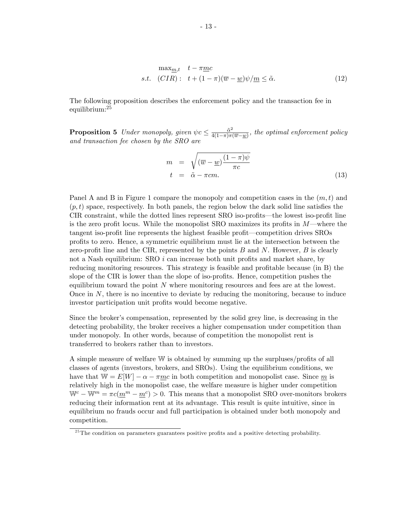$$
\max_{\underline{m},t} \quad t - \pi \underline{m}c
$$
  
s.t. 
$$
(CIR): \quad t + (1 - \pi)(\overline{w} - \underline{w})\psi/\underline{m} \leq \tilde{\alpha}.
$$
 (12)

The following proposition describes the enforcement policy and the transaction fee in equilibrium:<sup>25</sup>

**Proposition 5** Under monopoly, given  $\psi c \leq \frac{\tilde{\alpha}^2}{4(1-\pi)\pi\sigma^2}$  $\frac{\alpha^2}{4(1-\pi)\pi(\overline{w}-\underline{w})}$ , the optimal enforcement policy and transaction fee chosen by the SRO are

$$
m = \sqrt{(\overline{w} - \underline{w}) \frac{(1 - \pi)\psi}{\pi c}}
$$
  
\n
$$
t = \tilde{\alpha} - \pi cm.
$$
\n(13)

Panel A and B in Figure 1 compare the monopoly and competition cases in the  $(m, t)$  and  $(p, t)$  space, respectively. In both panels, the region below the dark solid line satisfies the CIR constraint, while the dotted lines represent SRO iso-profits—the lowest iso-profit line is the zero profit locus. While the monopolist SRO maximizes its profits in  $M$ —where the tangent iso-profit line represents the highest feasible profit—competition drives SROs proÖts to zero. Hence, a symmetric equilibrium must lie at the intersection between the zero-profit line and the CIR, represented by the points  $B$  and  $N$ . However,  $B$  is clearly not a Nash equilibrium: SRO  $i$  can increase both unit profits and market share, by reducing monitoring resources. This strategy is feasible and profitable because (in B) the slope of the CIR is lower than the slope of iso-profits. Hence, competition pushes the equilibrium toward the point  $N$  where monitoring resources and fees are at the lowest. Once in  $N$ , there is no incentive to deviate by reducing the monitoring, because to induce investor participation unit profits would become negative.

Since the brokerís compensation, represented by the solid grey line, is decreasing in the detecting probability, the broker receives a higher compensation under competition than under monopoly. In other words, because of competition the monopolist rent is transferred to brokers rather than to investors.

A simple measure of welfare W is obtained by summing up the surpluses/profits of all classes of agents (investors, brokers, and SROs). Using the equilibrium conditions, we have that  $W = E[W] - \alpha - \pi mc$  in both competition and monopolist case. Since m is relatively high in the monopolist case, the welfare measure is higher under competition  $\mathbb{W}^c - \mathbb{W}^m = \pi c(\underline{m}^m - \underline{m}^c) > 0$ . This means that a monopolist SRO over-monitors brokers reducing their information rent at its advantage. This result is quite intuitive, since in equilibrium no frauds occur and full participation is obtained under both monopoly and competition.

 $25$ The condition on parameters guarantees positive profits and a positive detecting probability.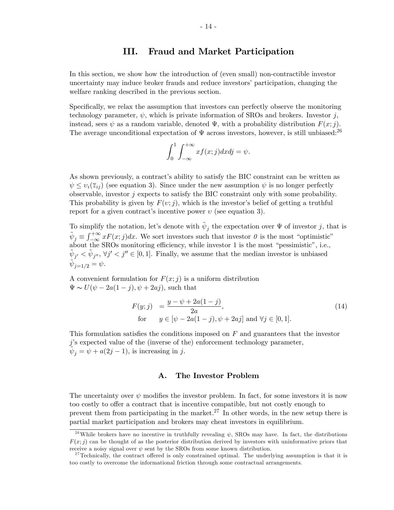# III. Fraud and Market Participation

In this section, we show how the introduction of (even small) non-contractible investor uncertainty may induce broker frauds and reduce investors' participation, changing the welfare ranking described in the previous section.

Specifically, we relax the assumption that investors can perfectly observe the monitoring technology parameter,  $\psi$ , which is private information of SROs and brokers. Investor j, instead, sees  $\psi$  as a random variable, denoted  $\Psi$ , with a probability distribution  $F(x; j)$ . The average unconditional expectation of  $\Psi$  across investors, however, is still unbiased:<sup>26</sup>

$$
\int_0^1 \int_{-\infty}^{+\infty} x f(x;j) dx dj = \psi.
$$

As shown previously, a contract's ability to satisfy the BIC constraint can be written as  $\psi \leq v_i(\bar{z}_{ii})$  (see equation 3). Since under the new assumption  $\psi$  is no longer perfectly observable, investor  $j$  expects to satisfy the BIC constraint only with some probability. This probability is given by  $F(v; j)$ , which is the investor's belief of getting a truthful report for a given contract's incentive power  $v$  (see equation 3).

To simplify the notation, let's denote with  $\tilde{\psi}_j$  the expectation over  $\Psi$  of investor j, that is  $\tilde{\psi}_j \equiv \int_{-\infty}^{+\infty} x F(x;j) dx$ . We sort investors such that investor  $\theta$  is the most "optimistic" about the SROs monitoring efficiency, while investor 1 is the most "pessimistic", i.e.,  $\tilde{\psi}_{j'} < \tilde{\psi}_{j''}, \forall j' < j'' \in [0, 1].$  Finally, we assume that the median investor is unbiased  $\tilde{\psi}_{j=1/2} = \psi.$ 

A convenient formulation for  $F(x; j)$  is a uniform distribution  $\Psi \sim U(\psi - 2a(1 - i), \psi + 2ai)$ , such that

$$
F(y;j) = \frac{y - \psi + 2a(1 - j)}{2a},
$$
  
for  $y \in [\psi - 2a(1 - j), \psi + 2aj]$  and  $\forall j \in [0, 1].$  (14)

This formulation satisfies the conditions imposed on  $F$  and guarantees that the investor  $j$ 's expected value of the (inverse of the) enforcement technology parameter,  $\tilde{\psi}_j = \psi + a(2j - 1)$ , is increasing in j.

#### A. The Investor Problem

The uncertainty over  $\psi$  modifies the investor problem. In fact, for some investors it is now too costly to offer a contract that is incentive compatible, but not costly enough to prevent them from participating in the market.<sup>27</sup> In other words, in the new setup there is partial market participation and brokers may cheat investors in equilibrium.

<sup>&</sup>lt;sup>26</sup>While brokers have no incentive in truthfully revealing  $\psi$ , SROs may have. In fact, the distributions  $F(x; j)$  can be thought of as the posterior distribution derived by investors with uninformative priors that receive a noisy signal over  $\psi$  sent by the SROs from some known distribution.

<sup>&</sup>lt;sup>27</sup>Technically, the contract offered is only constrained optimal. The underlying assumption is that it is too costly to overcome the informational friction through some contractual arrangements.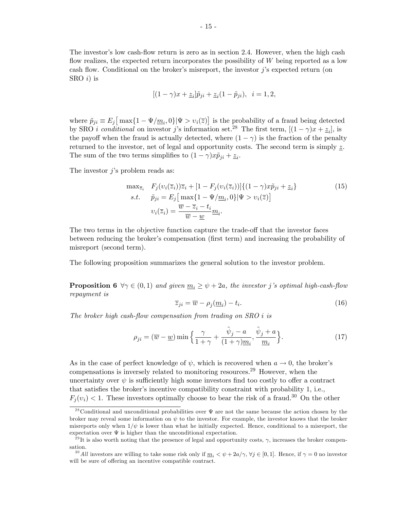The investor's low cash-flow return is zero as in section 2.4. However, when the high cash flow realizes, the expected return incorporates the possibility of  $W$  being reported as a low cash flow. Conditional on the broker's misreport, the investor  $j$ 's expected return (on SRO  $i)$  is

$$
[(1 - \gamma)x + \underline{z}_i]\tilde{p}_{ji} + \underline{z}_i(1 - \tilde{p}_{ji}), \ \ i = 1, 2,
$$

where  $\tilde{p}_{ji} \equiv E_j \left[ \max\{1 - \Psi/\underline{m}_i, 0\} | \Psi > v_i(\overline{z}) \right]$  is the probability of a fraud being detected by SRO *i* conditional on investor j's information set.<sup>28</sup> The first term,  $[(1 - \gamma)x + \underline{z}_i]$ , is the payoff when the fraud is actually detected, where  $(1 - \gamma)$  is the fraction of the penalty returned to the investor, net of legal and opportunity costs. The second term is simply  $\underline{z}$ . The sum of the two terms simplifies to  $(1 - \gamma)x\tilde{p}_{ji} + \underline{z}_i$ .

The investor  $i$ 's problem reads as:

$$
\max_{\overline{z}_i} F_j(v_i(\overline{z}_i))\overline{z}_i + [1 - F_j(v_i(\overline{z}_i))]\{(1 - \gamma)x\tilde{p}_{ji} + \underline{z}_i\}
$$
\n
$$
s.t. \quad \tilde{p}_{ji} = E_j\left[\max\{1 - \Psi/m_i, 0\}|\Psi > v_i(\overline{z})\right]
$$
\n
$$
v_i(\overline{z}_i) = \frac{\overline{w} - \overline{z}_i - t_i}{\overline{w} - \underline{w}}m_i.
$$
\n(15)

The two terms in the objective function capture the trade-off that the investor faces between reducing the broker's compensation (first term) and increasing the probability of misreport (second term).

The following proposition summarizes the general solution to the investor problem.

**Proposition 6**  $\forall \gamma \in (0,1)$  and given  $\underline{m}_i \geq \psi + 2a$ , the investor j's optimal high-cash-flow repayment is

$$
\overline{z}_{ji} = \overline{w} - \rho_j(\underline{m}_i) - t_i.
$$
\n(16)

The broker high cash-flow compensation from trading on  $SRO$  i is

$$
\rho_{ji} = (\overline{w} - \underline{w}) \min \left\{ \frac{\gamma}{1 + \gamma} + \frac{\tilde{\psi}_j - a}{(1 + \gamma)\underline{m}_i}, \frac{\tilde{\psi}_j + a}{\underline{m}_i} \right\}.
$$
 (17)

As in the case of perfect knowledge of  $\psi$ , which is recovered when  $a \to 0$ , the broker's compensations is inversely related to monitoring resources.<sup>29</sup> However, when the uncertainty over  $\psi$  is sufficiently high some investors find too costly to offer a contract that satisfies the broker's incentive compatibility constraint with probability 1, i.e.,  $F_j(v_i) < 1$ . These investors optimally choose to bear the risk of a fraud.<sup>30</sup> On the other

<sup>&</sup>lt;sup>28</sup> Conditional and unconditional probabilities over  $\Psi$  are not the same because the action chosen by the broker may reveal some information on  $\psi$  to the investor. For example, the investor knows that the broker misreports only when  $1/\psi$  is lower than what he initially expected. Hence, conditional to a misreport, the expectation over  $\Psi$  is higher than the unconditional expectation.

<sup>&</sup>lt;sup>29</sup>It is also worth noting that the presence of legal and opportunity costs,  $\gamma$ , increases the broker compensation.

<sup>&</sup>lt;sup>30</sup> All investors are willing to take some risk only if  $m_i < \psi + 2a/\gamma$ ,  $\forall j \in [0, 1]$ . Hence, if  $\gamma = 0$  no investor will be sure of offering an incentive compatible contract.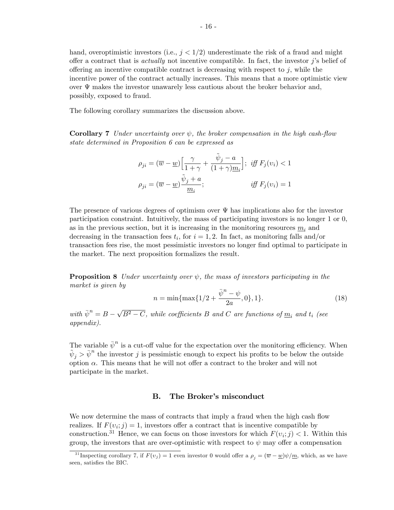hand, overoptimistic investors (i.e.,  $j < 1/2$ ) underestimate the risk of a fraud and might offer a contract that is *actually* not incentive compatible. In fact, the investor  $\hat{\jmath}$ 's belief of offering an incentive compatible contract is decreasing with respect to  $j$ , while the incentive power of the contract actually increases. This means that a more optimistic view over  $\Psi$  makes the investor unawarely less cautious about the broker behavior and, possibly, exposed to fraud.

The following corollary summarizes the discussion above.

**Corollary 7** Under uncertainty over  $\psi$ , the broker compensation in the high cash-flow state determined in Proposition 6 can be expressed as

$$
\rho_{ji} = (\overline{w} - \underline{w}) \left[ \frac{\gamma}{1 + \gamma} + \frac{\tilde{\psi}_j - a}{(1 + \gamma) \underline{m}_i} \right]; \text{ iff } F_j(v_i) < 1
$$
\n
$$
\rho_{ji} = (\overline{w} - \underline{w}) \frac{\tilde{\psi}_j + a}{\underline{m}_i}; \text{ iff } F_j(v_i) = 1
$$

The presence of various degrees of optimism over  $\Psi$  has implications also for the investor participation constraint. Intuitively, the mass of participating investors is no longer 1 or 0, as in the previous section, but it is increasing in the monitoring resources  $m<sub>i</sub>$  and decreasing in the transaction fees  $t_i$ , for  $i = 1, 2$ . In fact, as monitoring falls and/or transaction fees rise, the most pessimistic investors no longer find optimal to participate in the market. The next proposition formalizes the result.

**Proposition 8** Under uncertainty over  $\psi$ , the mass of investors participating in the market is given by

$$
n = \min\{\max\{1/2 + \frac{\bar{\psi}^n - \psi}{2a}, 0\}, 1\}.
$$
 (18)

with  $\bar{\psi}^n = B - \sqrt{B^2 - C}$ , while coefficients B and C are functions of  $\underline{m}_i$  and  $t_i$  (see appendix).

The variable  $\bar{\psi}^n$  is a cut-off value for the expectation over the monitoring efficiency. When  $\tilde{\psi}_j > \bar{\psi}^n$  the investor j is pessimistic enough to expect his profits to be below the outside option  $\alpha$ . This means that he will not offer a contract to the broker and will not participate in the market.

#### B. The Broker's misconduct

We now determine the mass of contracts that imply a fraud when the high cash flow realizes. If  $F(v_i; j) = 1$ , investors offer a contract that is incentive compatible by construction.<sup>31</sup> Hence, we can focus on those investors for which  $F(v_i; j) < 1$ . Within this group, the investors that are over-optimistic with respect to  $\psi$  may offer a compensation

<sup>&</sup>lt;sup>31</sup> Inspecting corollary 7, if  $F(v_j) = 1$  even investor 0 would offer a  $\rho_j = (\overline{w} - \underline{w})\psi/\underline{m}$ , which, as we have seen, satisfies the BIC.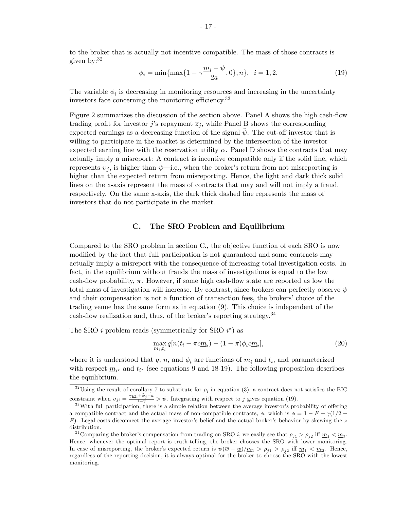to the broker that is actually not incentive compatible. The mass of those contracts is given by:<sup>32</sup>

$$
\phi_i = \min\{\max\{1 - \gamma \frac{m_i - \psi}{2a}, 0\}, n\}, \quad i = 1, 2. \tag{19}
$$

The variable  $\phi_i$  is decreasing in monitoring resources and increasing in the uncertainty investors face concerning the monitoring efficiency.<sup>33</sup>

Figure 2 summarizes the discussion of the section above. Panel A shows the high cash-flow trading profit for investor j's repayment  $\overline{z}_i$ , while Panel B shows the corresponding expected earnings as a decreasing function of the signal  $\psi$ . The cut-off investor that is willing to participate in the market is determined by the intersection of the investor expected earning line with the reservation utility  $\alpha$ . Panel D shows the contracts that may actually imply a misreport: A contract is incentive compatible only if the solid line, which represents  $v_i$ , is higher than  $\psi$ —i.e., when the broker's return from not misreporting is higher than the expected return from misreporting. Hence, the light and dark thick solid lines on the x-axis represent the mass of contracts that may and will not imply a fraud, respectively. On the same x-axis, the dark thick dashed line represents the mass of investors that do not participate in the market.

#### C. The SRO Problem and Equilibrium

Compared to the SRO problem in section C., the objective function of each SRO is now modified by the fact that full participation is not guaranteed and some contracts may actually imply a misreport with the consequence of increasing total investigation costs. In fact, in the equilibrium without frauds the mass of investigations is equal to the low cash-flow probability,  $\pi$ . However, if some high cash-flow state are reported as low the total mass of investigation will increase. By contrast, since brokers can perfectly observe  $\psi$ and their compensation is not a function of transaction fees, the brokers' choice of the trading venue has the same form as in equation (9). This choice is independent of the cash-flow realization and, thus, of the broker's reporting strategy.  $34$ 

The SRO *i* problem reads (symmetrically for SRO  $i^*$ ) as

$$
\max_{\underline{m}_i, t_i} q[n(t_i - \pi c \underline{m}_i) - (1 - \pi)\phi_i c \underline{m}_i],\tag{20}
$$

where it is understood that q, n, and  $\phi_i$  are functions of  $\underline{m}_i$  and  $t_i$ , and parameterized with respect  $\underline{m}_{i^*}$  and  $t_{i^*}$  (see equations 9 and 18-19). The following proposition describes the equilibrium.

<sup>&</sup>lt;sup>32</sup>Using the result of corollary 7 to substitute for  $\rho_i$  in equation (3), a contract does not satisfies the BIC constraint when  $v_{ji} = \frac{\gamma m_i + \tilde{\psi}_j - a}{1 + \gamma} > \psi$ . Integrating with respect to j gives equation (19).

 $33$ With full participation, there is a simple relation between the average investor's probability of offering a compatible contract and the actual mass of non-compatible contracts,  $\phi$ , which is  $\phi = 1 - F + \gamma(1/2 -$ F). Legal costs disconnect the average investor's belief and the actual broker's behavior by skewing the  $\overline{z}$ distribution.

<sup>&</sup>lt;sup>34</sup> Comparing the broker's compensation from trading on SRO *i*, we easily see that  $\rho_{j1} > \rho_{j2}$  iff  $\underline{m}_1 < \underline{m}_2$ . Hence, whenever the optimal report is truth-telling, the broker chooses the SRO with lower monitoring. In case of misreporting, the broker's expected return is  $\psi(\overline{w}-\underline{w})/\underline{m}_1 > \rho_{j1} > \rho_{j2}$  iff  $\underline{m}_1 < \underline{m}_2$ . Hence, regardless of the reporting decision, it is always optimal for the broker to choose the SRO with the lowest monitoring.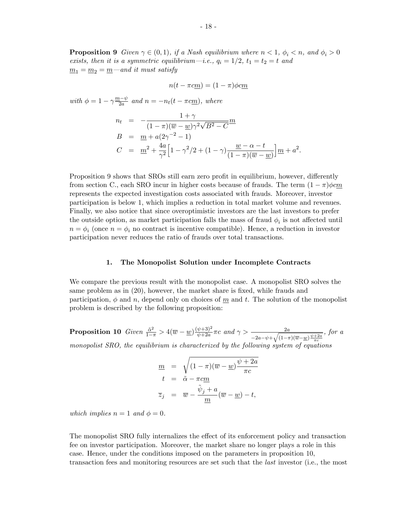**Proposition 9** Given  $\gamma \in (0,1)$ , if a Nash equilibrium where  $n < 1$ ,  $\phi_i < n$ , and  $\phi_i > 0$ exists, then it is a symmetric equilibrium—i.e.,  $q_i = 1/2$ ,  $t_1 = t_2 = t$  and  $m_1 = m_2 = m$  and it must satisfy

$$
n(t - \pi c\underline{m}) = (1 - \pi)\phi c\underline{m}
$$

with  $\phi = 1 - \gamma \frac{m - \psi}{2a}$  and  $n = -n_t(t - \pi c \underline{m})$ , where

$$
n_{t} = -\frac{1+\gamma}{(1-\pi)(\overline{w}-\underline{w})\gamma^{2}\sqrt{B^{2}-C}}m
$$
  
\n
$$
B = \underline{m} + a(2\gamma^{-2}-1)
$$
  
\n
$$
C = \underline{m}^{2} + \frac{4a}{\gamma^{2}}\Big[1-\gamma^{2}/2+(1-\gamma)\frac{\underline{w}-\alpha-t}{(1-\pi)(\overline{w}-\underline{w})}\Big]m + a^{2}.
$$

Proposition 9 shows that SROs still earn zero profit in equilibrium, however, differently from section C., each SRO incur in higher costs because of frauds. The term  $(1 - \pi)\phi cm$ represents the expected investigation costs associated with frauds. Moreover, investor participation is below 1, which implies a reduction in total market volume and revenues. Finally, we also notice that since overoptimistic investors are the last investors to prefer the outside option, as market participation falls the mass of fraud  $\phi_i$  is not affected until  $n = \phi_i$  (once  $n = \phi_i$  no contract is incentive compatible). Hence, a reduction in investor participation never reduces the ratio of frauds over total transactions.

#### 1. The Monopolist Solution under Incomplete Contracts

We compare the previous result with the monopolist case. A monopolist SRO solves the same problem as in  $(20)$ , however, the market share is fixed, while frauds and participation,  $\phi$  and n, depend only on choices of  $\underline{m}$  and t. The solution of the monopolist problem is described by the following proposition:

**Proposition 10** Given  $\frac{\tilde{\alpha}^2}{1-\pi} > 4(\overline{w} - \underline{w}) \frac{(\psi+3)^2}{\psi+2a}$  $\frac{\psi+3)^2}{\psi+2a}\pi c$  and  $\gamma > \frac{2a}{\sqrt{a^2+a^2}}$  $-2a-\psi+\sqrt{(1-\pi)(\overline{w}-\underline{w})\frac{\psi+2a}{\pi c}}$ , for a monopolist SRO, the equilibrium is characterized by the following system of equations

$$
\underline{m} = \sqrt{(1-\pi)(\overline{w} - \underline{w}) \frac{\psi + 2a}{\pi c}}
$$
  
\n
$$
t = \tilde{\alpha} - \pi c \underline{m}
$$
  
\n
$$
\overline{z}_j = \overline{w} - \frac{\tilde{\psi}_j + a}{\underline{m}} (\overline{w} - \underline{w}) - t,
$$

which implies  $n = 1$  and  $\phi = 0$ .

The monopolist SRO fully internalizes the effect of its enforcement policy and transaction fee on investor participation. Moreover, the market share no longer plays a role in this case. Hence, under the conditions imposed on the parameters in proposition 10, transaction fees and monitoring resources are set such that the last investor (i.e., the most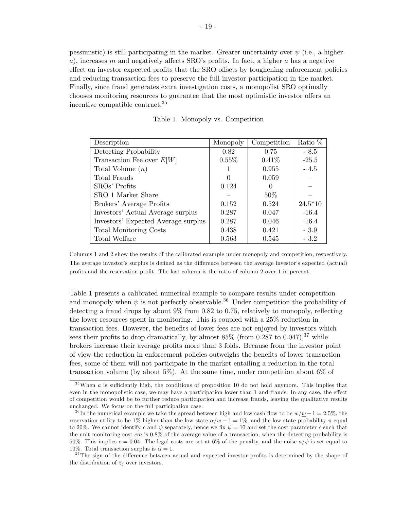pessimistic) is still participating in the market. Greater uncertainty over  $\psi$  (i.e., a higher a), increases m and negatively affects SRO's profits. In fact, a higher a has a negative effect on investor expected profits that the SRO offsets by toughening enforcement policies and reducing transaction fees to preserve the full investor participation in the market. Finally, since fraud generates extra investigation costs, a monopolist SRO optimally chooses monitoring resources to guarantee that the most optimistic investor offers an incentive compatible contract.<sup>35</sup>

| Description                         | Monopoly | Competition | Ratio %   |
|-------------------------------------|----------|-------------|-----------|
| Detecting Probability               | 0.82     | 0.75        | $-8.5$    |
| Transaction Fee over $E[W]$         | $0.55\%$ | $0.41\%$    | $-25.5$   |
| Total Volume $(n)$                  |          | 0.955       | $-4.5$    |
| Total Frauds                        | $\Omega$ | 0.059       |           |
| SROs' Profits                       | 0.124    | $\Omega$    |           |
| SRO 1 Market Share                  |          | 50%         |           |
| Brokers' Average Profits            | 0.152    | 0.524       | $24.5*10$ |
| Investors' Actual Average surplus   | 0.287    | 0.047       | $-16.4$   |
| Investors' Expected Average surplus | 0.287    | 0.046       | $-16.4$   |
| <b>Total Monitoring Costs</b>       | 0.438    | 0.421       | $-3.9$    |
| Total Welfare                       | 0.563    | 0.545       | $-3.2$    |

Table 1. Monopoly vs. Competition

Columns 1 and 2 show the results of the calibrated example under monopoly and competition, respectively. The average investor's surplus is defined as the difference between the average investor's expected (actual) profits and the reservation profit. The last column is the ratio of column 2 over 1 in percent.

Table 1 presents a calibrated numerical example to compare results under competition and monopoly when  $\psi$  is not perfectly observable.<sup>36</sup> Under competition the probability of detecting a fraud drops by about  $9\%$  from 0.82 to 0.75, relatively to monopoly, reflecting the lower resources spent in monitoring. This is coupled with a 25% reduction in transaction fees. However, the benefits of lower fees are not enjoyed by investors which sees their profits to drop dramatically, by almost  $85\%$  (from 0.287 to 0.047),<sup>37</sup> while brokers increase their average profits more than 3 folds. Because from the investor point of view the reduction in enforcement policies outweighs the benefits of lower transaction fees, some of them will not participate in the market entailing a reduction in the total transaction volume (by about 5%). At the same time, under competition about 6% of

 $35$ When a is sufficiently high, the conditions of proposition 10 do not hold anymore. This implies that even in the monopolistic case, we may have a participation lower than 1 and frauds. In any case, the effect of competition would be to further reduce participation and increase frauds, leaving the qualitative results unchanged. We focus on the full participation case.

<sup>&</sup>lt;sup>36</sup>In the numerical example we take the spread between high and low cash flow to be  $\overline{w}/w - 1 = 2.5\%$ , the reservation utility to be 1% higher than the low state  $\alpha/\underline{w} - 1 = 1\%$ , and the low state probability  $\pi$  equal to 20%. We cannot identify c and  $\psi$  separately, hence we fix  $\psi = 10$  and set the cost parameter c such that the unit monitoring cost  $cm$  is 0.8% of the average value of a transaction, when the detecting probability is 50%. This implies  $c = 0.04$ . The legal costs are set at 6% of the penalty, and the noise  $a/\psi$  is set equal to 10%. Total transaction surplus is  $\tilde{\alpha} = 1$ .

 $37$ The sign of the difference between actual and expected investor profits is determined by the shape of the distribution of  $\overline{z}_i$  over investors.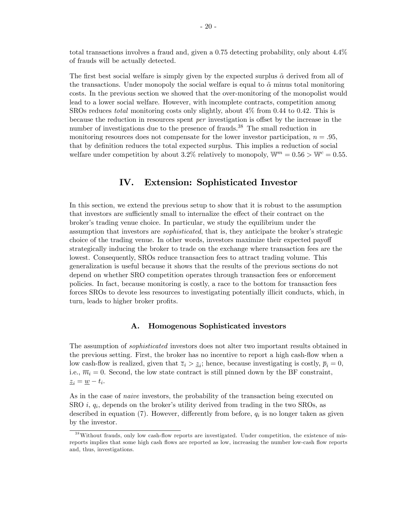total transactions involves a fraud and, given a 0.75 detecting probability, only about 4.4% of frauds will be actually detected.

The first best social welfare is simply given by the expected surplus  $\tilde{\alpha}$  derived from all of the transactions. Under monopoly the social welfare is equal to  $\tilde{\alpha}$  minus total monitoring costs. In the previous section we showed that the over-monitoring of the monopolist would lead to a lower social welfare. However, with incomplete contracts, competition among SROs reduces total monitoring costs only slightly, about 4% from 0.44 to 0.42. This is because the reduction in resources spent  $per$  investigation is offset by the increase in the number of investigations due to the presence of frauds.<sup>38</sup> The small reduction in monitoring resources does not compensate for the lower investor participation,  $n = .95$ , that by definition reduces the total expected surplus. This implies a reduction of social welfare under competition by about 3.2% relatively to monopoly,  $W^m = 0.56 > W^c = 0.55$ .

# IV. Extension: Sophisticated Investor

In this section, we extend the previous setup to show that it is robust to the assumption that investors are sufficiently small to internalize the effect of their contract on the brokerís trading venue choice. In particular, we study the equilibrium under the assumption that investors are *sophisticated*, that is, they anticipate the broker's strategic choice of the trading venue. In other words, investors maximize their expected payoff strategically inducing the broker to trade on the exchange where transaction fees are the lowest. Consequently, SROs reduce transaction fees to attract trading volume. This generalization is useful because it shows that the results of the previous sections do not depend on whether SRO competition operates through transaction fees or enforcement policies. In fact, because monitoring is costly, a race to the bottom for transaction fees forces SROs to devote less resources to investigating potentially illicit conducts, which, in turn, leads to higher broker profits.

#### A. Homogenous Sophisticated investors

The assumption of sophisticated investors does not alter two important results obtained in the previous setting. First, the broker has no incentive to report a high cash-flow when a low cash-flow is realized, given that  $\overline{z}_i > \underline{z}_i$ ; hence, because investigating is costly,  $\overline{p}_i = 0$ , i.e.,  $\overline{m}_i = 0$ . Second, the low state contract is still pinned down by the BF constraint,  $\underline{z}_i = \underline{w} - t_i.$ 

As in the case of *naive* investors, the probability of the transaction being executed on  $SRO$  *i*,  $q_i$ , depends on the broker's utility derived from trading in the two  $SROS$ , as described in equation  $(7)$ . However, differently from before,  $q_i$  is no longer taken as given by the investor.

 $38$ Without frauds, only low cash-flow reports are investigated. Under competition, the existence of misreports implies that some high cash flows are reported as low, increasing the number low-cash flow reports and, thus, investigations.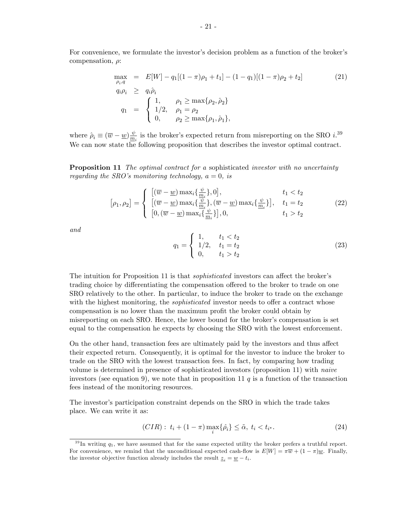For convenience, we formulate the investor's decision problem as a function of the broker's compensation,  $\rho$ :

$$
\max_{\rho_i, q} = E[W] - q_1[(1 - \pi)\rho_1 + t_1] - (1 - q_1)[(1 - \pi)\rho_2 + t_2]
$$
\n
$$
q_i \rho_i \ge q_i \hat{\rho}_i
$$
\n
$$
q_1 = \begin{cases}\n1, & \rho_1 \ge \max\{\rho_2, \hat{\rho}_2\} \\
1/2, & \rho_1 = \rho_2 \\
0, & \rho_2 \ge \max\{\rho_1, \hat{\rho}_1\},\n\end{cases}
$$
\n(21)

where  $\hat{\rho}_i \equiv (\overline{w} - \underline{w})\frac{\psi}{\underline{m}}$  $\frac{\psi}{m_i}$  is the broker's expected return from misreporting on the SRO  $i^{.39}$ We can now state the following proposition that describes the investor optimal contract.

**Proposition 11** The optimal contract for a sophisticated investor with no uncertainty regarding the SRO's monitoring technology,  $a = 0$ , is

$$
[\rho_1, \rho_2] = \begin{cases} [(\overline{w} - \underline{w}) \max_i \{\frac{\psi}{m_i}\}, 0], & t_1 < t_2 \\ [(\overline{w} - \underline{w}) \max_i \{\frac{\psi}{m_i}\}, (\overline{w} - \underline{w}) \max_i \{\frac{\psi}{m_i}\}], & t_1 = t_2 \\ [0, (\overline{w} - \underline{w}) \max_i \{\frac{\psi}{m_i}\}], 0, & t_1 > t_2 \end{cases}
$$
(22)

and

$$
q_1 = \begin{cases} 1, & t_1 < t_2 \\ 1/2, & t_1 = t_2 \\ 0, & t_1 > t_2 \end{cases}
$$
 (23)

The intuition for Proposition 11 is that *sophisticated* investors can affect the broker's trading choice by differentiating the compensation offered to the broker to trade on one SRO relatively to the other. In particular, to induce the broker to trade on the exchange with the highest monitoring, the *sophisticated* investor needs to offer a contract whose compensation is no lower than the maximum profit the broker could obtain by misreporting on each SRO. Hence, the lower bound for the broker's compensation is set equal to the compensation he expects by choosing the SRO with the lowest enforcement.

On the other hand, transaction fees are ultimately paid by the investors and thus affect their expected return. Consequently, it is optimal for the investor to induce the broker to trade on the SRO with the lowest transaction fees. In fact, by comparing how trading volume is determined in presence of sophisticated investors (proposition 11) with naive investors (see equation 9), we note that in proposition 11  $q$  is a function of the transaction fees instead of the monitoring resources.

The investor's participation constraint depends on the SRO in which the trade takes place. We can write it as:

$$
(CIR): t_i + (1 - \pi) \max_i \{\hat{\rho}_i\} \leq \tilde{\alpha}, t_i < t_{i^*}.\tag{24}
$$

 $39 \text{In writing } q_1$ , we have assumed that for the same expected utility the broker prefers a truthful report. For convenience, we remind that the unconditional expected cash-flow is  $E[W] = \pi \overline{w} + (1 - \pi) \underline{w}$ . Finally, the investor objective function already includes the result  $\underline{z}_i = \underline{w} - t_i$ .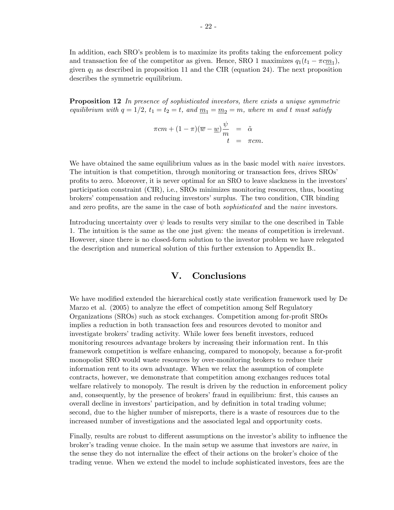In addition, each SRO's problem is to maximize its profits taking the enforcement policy and transaction fee of the competitor as given. Hence, SRO 1 maximizes  $q_1(t_1 - \pi c m_1)$ , given  $q_1$  as described in proposition 11 and the CIR (equation 24). The next proposition describes the symmetric equilibrium.

**Proposition 12** In presence of sophisticated investors, there exists a unique symmetric equilibrium with  $q = 1/2$ ,  $t_1 = t_2 = t$ , and  $\underline{m}_1 = \underline{m}_2 = m$ , where m and t must satisfy

$$
\pi cm + (1 - \pi)(\overline{w} - \underline{w})\frac{\psi}{m} = \tilde{\alpha}
$$
  

$$
t = \pi cm.
$$

We have obtained the same equilibrium values as in the basic model with *naive* investors. The intuition is that competition, through monitoring or transaction fees, drives SROs<sup>7</sup> profits to zero. Moreover, it is never optimal for an SRO to leave slackness in the investors' participation constraint (CIR), i.e., SROs minimizes monitoring resources, thus, boosting brokersícompensation and reducing investorsísurplus. The two condition, CIR binding and zero profits, are the same in the case of both *sophisticated* and the *naive* investors.

Introducing uncertainty over  $\psi$  leads to results very similar to the one described in Table 1. The intuition is the same as the one just given: the means of competition is irrelevant. However, since there is no closed-form solution to the investor problem we have relegated the description and numerical solution of this further extension to Appendix B..

# V. Conclusions

We have modified extended the hierarchical costly state verification framework used by De Marzo et al. (2005) to analyze the effect of competition among Self Regulatory Organizations (SROs) such as stock exchanges. Competition among for-profit SROs implies a reduction in both transaction fees and resources devoted to monitor and investigate brokers' trading activity. While lower fees benefit investors, reduced monitoring resources advantage brokers by increasing their information rent. In this framework competition is welfare enhancing, compared to monopoly, because a for-profit monopolist SRO would waste resources by over-monitoring brokers to reduce their information rent to its own advantage. When we relax the assumption of complete contracts, however, we demonstrate that competition among exchanges reduces total welfare relatively to monopoly. The result is driven by the reduction in enforcement policy and, consequently, by the presence of brokers' fraud in equilibrium: first, this causes an overall decline in investors' participation, and by definition in total trading volume; second, due to the higher number of misreports, there is a waste of resources due to the increased number of investigations and the associated legal and opportunity costs.

Finally, results are robust to different assumptions on the investor's ability to influence the broker's trading venue choice. In the main setup we assume that investors are *naive*, in the sense they do not internalize the effect of their actions on the broker's choice of the trading venue. When we extend the model to include sophisticated investors, fees are the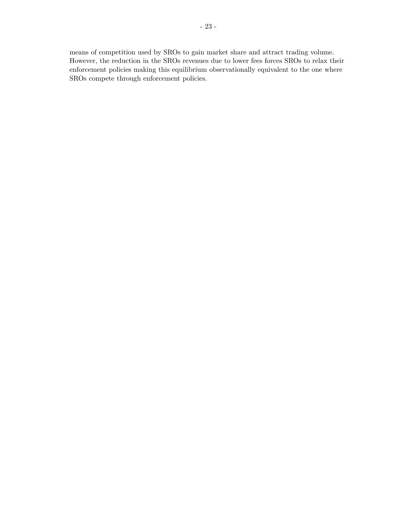means of competition used by SROs to gain market share and attract trading volume. However, the reduction in the SROs revenues due to lower fees forces SROs to relax their enforcement policies making this equilibrium observationally equivalent to the one where SROs compete through enforcement policies.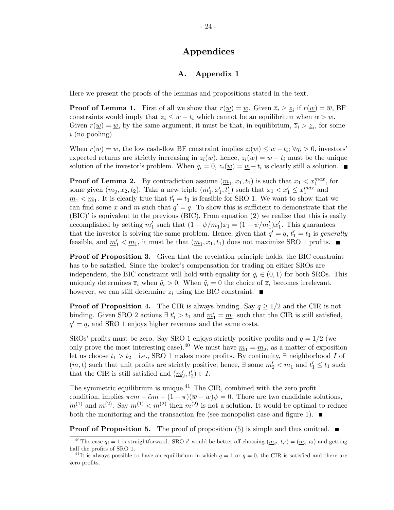# Appendices

## A. Appendix 1

Here we present the proofs of the lemmas and propositions stated in the text.

**Proof of Lemma 1.** First of all we show that  $r(\underline{w}) = \underline{w}$ . Given  $\overline{z}_i \geq \underline{z}_i$  if  $r(\underline{w}) = \overline{w}$ , BF constraints would imply that  $\overline{z}_i \leq \underline{w} - t_i$  which cannot be an equilibrium when  $\alpha > \underline{w}$ . Given  $r(\underline{w}) = \underline{w}$ , by the same argument, it must be that, in equilibrium,  $\overline{z}_i > \underline{z}_i$ , for some  $i$  (no pooling).

When  $r(\underline{w}) = \underline{w}$ , the low cash-flow BF constraint implies  $z_i(\underline{w}) \leq \underline{w} - t_i$ ;  $\forall q_i > 0$ , investors' expected returns are strictly increasing in  $z_i(w)$ , hence,  $z_i(w) = w - t_i$  must be the unique solution of the investor's problem. When  $q_i = 0$ ,  $z_i(\underline{w}) = \underline{w} - t_i$  is clearly still a solution.

**Proof of Lemma 2.** By contradiction assume  $(\underline{m}_1, x_1, t_1)$  is such that  $x_1 < x_1^{max}$ , for some given  $(\underline{m}_2, x_2, t_2)$ . Take a new triple  $(\underline{m}'_1, x'_1, t'_1)$  such that  $x_1 < x'_1 \leq x_1^{max}$  and  $\underline{m}_1 < \underline{m}_1$ . It is clearly true that  $t'_1 = t_1$  is feasible for SRO 1. We want to show that we can find some x and m such that  $q' = q$ . To show this is sufficient to demonstrate that the  $(BIC)$ <sup>i</sup> is equivalent to the previous (BIC). From equation (2) we realize that this is easily accomplished by setting  $\underline{m}'_1$  such that  $(1 - \psi/\underline{m}_1)x_1 = (1 - \psi/\underline{m}'_1)x'_1$ . This guarantees that the investor is solving the same problem. Hence, given that  $q' = q$ ,  $t'_1 = t_1$  is generally feasible, and  $\underline{m}_1' < \underline{m}_1$ , it must be that  $(\underline{m}_1, x_1, t_1)$  does not maximize SRO 1 profits.

Proof of Proposition 3. Given that the revelation principle holds, the BIC constraint has to be satisfied. Since the broker's compensation for trading on either SROs are independent, the BIC constraint will hold with equality for  $\tilde{q}_i \in (0, 1)$  for both SROs. This uniquely determines  $\overline{z}_i$  when  $\tilde{q}_i > 0$ . When  $\tilde{q}_i = 0$  the choice of  $\overline{z}_i$  becomes irrelevant, however, we can still determine  $\overline{z}_i$  using the BIC constraint.

**Proof of Proposition 4.** The CIR is always binding. Say  $q \geq 1/2$  and the CIR is not binding. Given SRO 2 actions  $\exists t'_1 > t_1$  and  $\underline{m'_1} = \underline{m_1}$  such that the CIR is still satisfied,  $q' = q$ , and SRO 1 enjoys higher revenues and the same costs.

SROs' profits must be zero. Say SRO 1 enjoys strictly positive profits and  $q = 1/2$  (we only prove the most interesting case).<sup>40</sup> We must have  $\underline{m}_1 = \underline{m}_2$ , as a matter of exposition let us choose  $t_1 > t_2$ —i.e., SRO 1 makes more profits. By continuity,  $\exists$  neighborhood I of  $(m, t)$  such that unit profits are strictly positive; hence,  $\exists$  some  $\underline{m}'_2 < \underline{m}_1$  and  $t'_1 \le t_1$  such that the CIR is still satisfied and  $(\underline{m}'_2, t'_2) \in I$ .

The symmetric equilibrium is unique.<sup>41</sup> The CIR, combined with the zero profit condition, implies  $\pi cm - \tilde{\alpha}m + (1 - \pi)(\overline{w} - w)\psi = 0$ . There are two candidate solutions,  $m^{(1)}$  and  $m^{(2)}$ . Say  $m^{(1)} < m^{(2)}$  then  $m^{(2)}$  is not a solution. It would be optimal to reduce both the monitoring and the transaction fee (see monopolist case and figure 1).  $\blacksquare$ 

**Proof of Proposition 5.** The proof of proposition (5) is simple and thus omitted.  $\blacksquare$ 

<sup>&</sup>lt;sup>40</sup>The case  $q_i = 1$  is straightforward. SRO i' would be better off choosing  $(\underline{m}_{i'}, t_{i'}) = (\underline{m}_i, t_2)$  and getting half the profits of SRO 1.

<sup>&</sup>lt;sup>41</sup>It is always possible to have an equilibrium in which  $q = 1$  or  $q = 0$ , the CIR is satisfied and there are zero profits.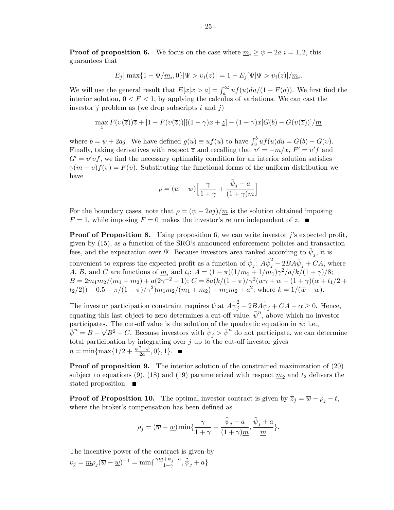**Proof of proposition 6.** We focus on the case where  $\underline{m}_i \geq \psi + 2a$  i = 1, 2, this guarantees that

$$
E_j\big[\max\{1-\Psi/\underline{m}_i,0\}|\Psi>v_i(\overline{z})\big]=1-E_j[\Psi|\Psi>v_i(\overline{z})]/\underline{m}_i.
$$

We will use the general result that  $E[x|x > a] = \int_a^{\infty} u f(u) du/(1 - F(a))$ . We first find the interior solution,  $0 < F < 1$ , by applying the calculus of variations. We can cast the investor  $j$  problem as (we drop subscripts  $i$  and  $j$ )

$$
\max_{\overline{z}} F(v(\overline{z}))\overline{z} + [1 - F(v(\overline{z}))][(1 - \gamma)x + \underline{z}] - (1 - \gamma)x[G(b) - G(v(\overline{z}))]/\underline{m}
$$

where  $b = \psi + 2aj$ . We have defined  $g(u) \equiv uf(u)$  to have  $\int_v^b uf(u)du = G(b) - G(v)$ . Finally, taking derivatives with respect  $\overline{z}$  and recalling that  $v' = -m/x$ ,  $F' = v'f$  and  $G' = v'vf$ , we find the necessary optimality condition for an interior solution satisfies  $\gamma(m-v)f(v) = F(v)$ . Substituting the functional forms of the uniform distribution we have

$$
\rho = (\overline{w} - \underline{w}) \Big[ \frac{\gamma}{1 + \gamma} + \frac{\tilde{\psi}_j - a}{(1 + \gamma)\underline{m}} \Big]
$$

For the boundary cases, note that  $\rho = (\psi + 2a_j)/m$  is the solution obtained imposing  $F = 1$ , while imposing  $F = 0$  makes the investor's return independent of  $\overline{z}$ .

**Proof of Proposition 8.** Using proposition 6, we can write investor j's expected profit, given by  $(15)$ , as a function of the SRO's announced enforcement policies and transaction fees, and the expectation over  $\Psi$ . Because investors area ranked according to  $\tilde{\psi}_j$ , it is

convenient to express the expected profit as a function of  $\tilde{\psi}_j$ :  $A\tilde{\psi}_j^2 - 2BA\tilde{\psi}_j + CA$ , where A, B, and C are functions of  $\underline{m}_i$  and  $t_i$ :  $A = (1 - \pi)(1/m_2 + 1/m_1)\gamma^2/a/k/(1+\gamma)/8;$  $B = 2m_1m_2/(m_1 + m_2) + a(2\gamma^{-2} - 1);$   $C = 8a(k/(1 - \pi)/\gamma^2(\underline{w}\gamma + \overline{w} - (1 + \gamma)(\alpha + t_1/2 +$  $(t_2(2)) - 0.5 - \pi/(1 - \pi)/\gamma^2)m_1m_2/(m_1 + m_2) + m_1m_2 + a^2$ ; where  $k = 1/(\overline{w} - \underline{w})$ .

The investor participation constraint requires that  $A\tilde{\psi}_j^2 - 2B A \tilde{\psi}_j + CA - \alpha \ge 0$ . Hence, equating this last object to zero determines a cut-off value,  $\bar{\psi}^n$ , above which no investor participates. The cut-off value is the solution of the quadratic equation in  $\tilde{\psi}$ ; i.e.,  $\psi^n = B - \sqrt{B^2 - C}$ . Because investors with  $\tilde{\psi}_j > \bar{\psi}^n$  do not participate, we can determine total participation by integrating over  $j$  up to the cut-off investor gives  $n = \min\{\max\{1/2 + \frac{\bar{\psi}^n - \psi}{2a}, 0\}, 1\}.$ 

Proof of proposition 9. The interior solution of the constrained maximization of (20) subject to equations (9), (18) and (19) parameterized with respect  $m_2$  and  $t_2$  delivers the stated proposition.

**Proof of Proposition 10.** The optimal investor contract is given by  $\overline{z}_j = \overline{w} - \rho_j - t$ , where the broker's compensation has been defined as

$$
\rho_j = (\overline{w} - \underline{w}) \min \{ \frac{\gamma}{1 + \gamma} + \frac{\tilde{\psi}_j - a}{(1 + \gamma)m}, \frac{\tilde{\psi}_j + a}{m} \}.
$$

The incentive power of the contract is given by  $v_j = \underline{m}\rho_j(\overline{w} - \underline{w})^{-1} = \min\{\frac{\gamma\underline{m} + \tilde{\psi}_j - a}{1 + \gamma}, \tilde{\psi}_j + a\}$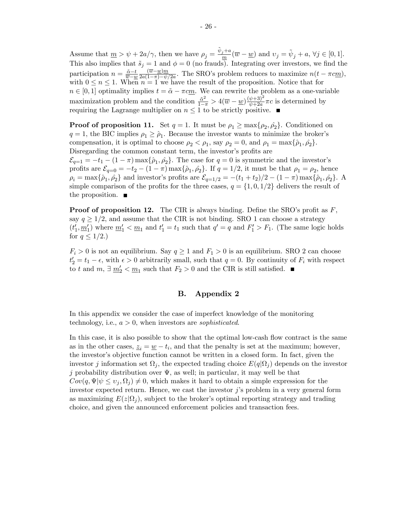Assume that  $\underline{m} > \psi + 2a/\gamma$ , then we have  $\rho_j = \frac{\tilde{\psi}_j + a}{m}$  $\frac{j+a}{m}(\overline{w}-\underline{w})$  and  $v_j = \tilde{\psi}_j + a, \forall j \in [0,1].$ This also implies that  $\tilde{s}_j = 1$  and  $\phi = 0$  (no frauds). Integrating over investors, we find the participation  $n = \frac{\tilde{\alpha} - t}{\overline{m} - u}$  $\overline{w} - \underline{w}$  $\frac{(\overline{w}-\underline{w})m}{\overline{w}}$  $\frac{(w-w)m}{2a(1-\pi)-\psi/2a}$ . The SRO's problem reduces to maximize  $n(t-\pi c m)$ , with  $0 \le n \le 1$ . When  $n = 1$  we have the result of the proposition. Notice that for  $n \in [0, 1]$  optimality implies  $t = \tilde{\alpha} - \pi c \underline{m}$ . We can rewrite the problem as a one-variable maximization problem and the condition  $\frac{\tilde{\alpha}^2}{1-\pi} > 4(\overline{w} - \underline{w}) \frac{(\psi+3)^2}{\psi+2a}$  $\frac{\psi+3}{\psi+2a}\pi c$  is determined by requiring the Lagrange multiplier on  $n \leq 1$  to be strictly positive.

**Proof of proposition 11.** Set  $q = 1$ . It must be  $\rho_1 \ge \max\{\rho_2, \rho_2\}$ . Conditioned on  $q = 1$ , the BIC implies  $\rho_1 \geq \hat{\rho}_1$ . Because the investor wants to minimize the broker's compensation, it is optimal to choose  $\rho_2 < \rho_1$ , say  $\rho_2 = 0$ , and  $\rho_1 = \max{\rho_1, \rho_2}.$ Disregarding the common constant term, the investor's profits are  $\mathcal{E}_{q=1} = -t_1 - (1 - \pi) \max{\{\hat{\rho}_1, \hat{\rho}_2\}}$ . The case for  $q = 0$  is symmetric and the investor's profits are  $\mathcal{E}_{q=0} = -t_2 - (1 - \pi) \max{\{\hat{\rho}_1, \hat{\rho}_2\}}$ . If  $q = 1/2$ , it must be that  $\rho_1 = \rho_2$ , hence  $\rho_i = \max{\{\hat{\rho}_1, \hat{\rho}_2\}}$  and investor's profits are  $\mathcal{E}_{q=1/2} = -(t_1 + t_2)/2 - (1 - \pi) \max{\{\hat{\rho}_1, \hat{\rho}_2\}}$ . simple comparison of the profits for the three cases,  $q = \{1, 0, 1/2\}$  delivers the result of the proposition.  $\blacksquare$ 

**Proof of proposition 12.** The CIR is always binding. Define the SRO's profit as  $F$ , say  $q \geq 1/2$ , and assume that the CIR is not binding. SRO 1 can choose a strategy  $(t'_1, \underline{m}'_1)$  where  $\underline{m}'_1 < \underline{m}_1$  and  $t'_1 = t_1$  such that  $q' = q$  and  $F'_1 > F_1$ . (The same logic holds for  $q \leq 1/2$ .)

 $F_i > 0$  is not an equilibrium. Say  $q \ge 1$  and  $F_1 > 0$  is an equilibrium. SRO 2 can choose  $t_2' = t_1 - \epsilon$ , with  $\epsilon > 0$  arbitrarily small, such that  $q = 0$ . By continuity of  $F_i$  with respect to t and  $m, \exists \underline{m'_2} < \underline{m_1}$  such that  $F_2 > 0$  and the CIR is still satisfied.

## B. Appendix 2

In this appendix we consider the case of imperfect knowledge of the monitoring technology, i.e.,  $a > 0$ , when investors are *sophisticated*.

In this case, it is also possible to show that the optimal low-cash flow contract is the same as in the other cases,  $\underline{z}_i = \underline{w} - t_i$ , and that the penalty is set at the maximum; however, the investor's objective function cannot be written in a closed form. In fact, given the investor *j* information set  $\Omega_j$ , the expected trading choice  $E(q|\Omega_j)$  depends on the investor j probability distribution over  $\Psi$ , as well; in particular, it may well be that  $Cov(q, \Psi | \psi \leq v_j, \Omega_j) \neq 0$ , which makes it hard to obtain a simple expression for the investor expected return. Hence, we cast the investor  $j$ 's problem in a very general form as maximizing  $E(z|\Omega_j)$ , subject to the broker's optimal reporting strategy and trading choice, and given the announced enforcement policies and transaction fees.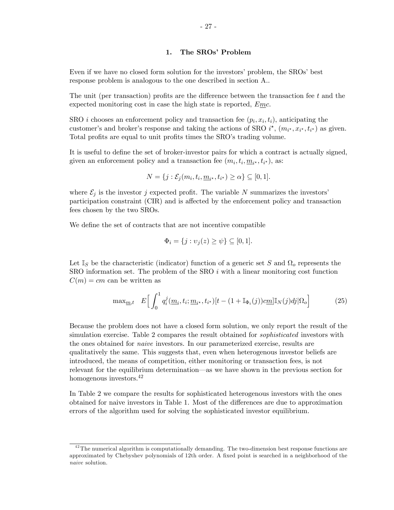#### 1. The SROs' Problem

Even if we have no closed form solution for the investors' problem, the SROs' best response problem is analogous to the one described in section A..

The unit (per transaction) profits are the difference between the transaction fee  $t$  and the expected monitoring cost in case the high state is reported,  $Emc$ .

SRO *i* chooses an enforcement policy and transaction fee  $(p_i, x_i, t_i)$ , anticipating the customer's and broker's response and taking the actions of SRO  $i^*$ ,  $(m_{i^*}, x_{i^*}, t_{i^*})$  as given. Total profits are equal to unit profits times the SRO's trading volume.

It is useful to define the set of broker-investor pairs for which a contract is actually signed, given an enforcement policy and a transaction fee  $(m_i, t_i, \underline{m}_{i^*}, t_{i^*})$ , as:

$$
N = \{j : \mathcal{E}_j(m_i, t_i, \underline{m}_{i^*}, t_{i^*}) \ge \alpha\} \subseteq [0, 1].
$$

where  $\mathcal{E}_j$  is the investor j expected profit. The variable N summarizes the investors' participation constraint (CIR) and is affected by the enforcement policy and transaction fees chosen by the two SROs.

We define the set of contracts that are not incentive compatible

$$
\Phi_i = \{j : \upsilon_j(z) \ge \psi\} \subseteq [0,1].
$$

Let  $\mathbb{I}_S$  be the characteristic (indicator) function of a generic set S and  $\Omega_o$  represents the  $SRO$  information set. The problem of the  $SRO$  i with a linear monitoring cost function  $C(m) = cm$  can be written as

$$
\max_{\underline{m},t} \quad E\Big[\int_0^1 q_i^j(\underline{m}_i,t_i;\underline{m}_{i^\star},t_{i^\star})[t-(1+\mathbb{I}_{\Phi_i}(j))\underline{c}\underline{m}]\mathbb{I}_N(j)dj|\Omega_o\Big] \tag{25}
$$

Because the problem does not have a closed form solution, we only report the result of the simulation exercise. Table 2 compares the result obtained for *sophisticated* investors with the ones obtained for naive investors. In our parameterized exercise, results are qualitatively the same. This suggests that, even when heterogenous investor beliefs are introduced, the means of competition, either monitoring or transaction fees, is not relevant for the equilibrium determination—as we have shown in the previous section for homogenous investors.<sup>42</sup>

In Table 2 we compare the results for sophisticated heterogenous investors with the ones obtained for naive investors in Table 1. Most of the differences are due to approximation errors of the algorithm used for solving the sophisticated investor equilibrium.

 $42$ The numerical algorithm is computationally demanding. The two-dimension best response functions are approximated by Chebyshev polynomials of 12th order. A fixed point is searched in a neighborhood of the naive solution.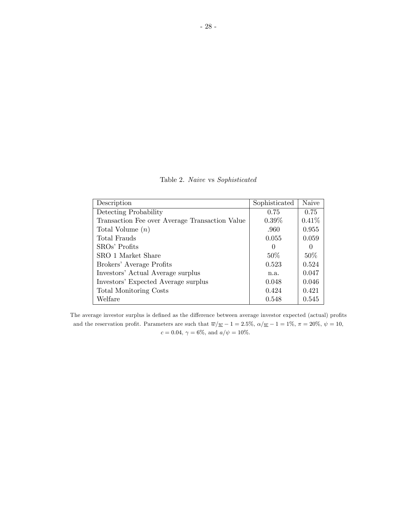Table 2. Naive vs Sophisticated

| Description                                    | Sophisticated | Naive    |
|------------------------------------------------|---------------|----------|
| Detecting Probability                          | 0.75          | 0.75     |
| Transaction Fee over Average Transaction Value | $0.39\%$      | 0.41%    |
| Total Volume $(n)$                             | .960          | 0.955    |
| Total Frauds                                   | 0.055         | 0.059    |
| SROs' Profits                                  | $\theta$      | $\Omega$ |
| SRO 1 Market Share                             | 50%           | $50\%$   |
| Brokers' Average Profits                       | 0.523         | 0.524    |
| Investors' Actual Average surplus              | n.a.          | 0.047    |
| Investors' Expected Average surplus            | 0.048         | 0.046    |
| <b>Total Monitoring Costs</b>                  | 0.424         | 0.421    |
| Welfare                                        | 0.548         | 0.545    |

The average investor surplus is defined as the difference between average investor expected (actual) profits and the reservation profit. Parameters are such that  $\overline{w}/\underline{w} - 1 = 2.5\%$ ,  $\alpha/\underline{w} - 1 = 1\%$ ,  $\pi = 20\%$ ,  $\psi = 10$ ,  $c=0.04,\, \gamma=6\%,$  and  $a/\psi=10\%.$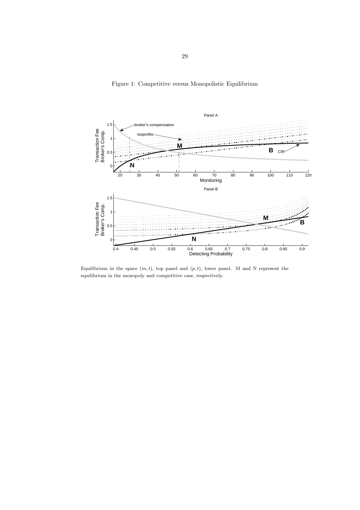Figure 1: Competitive versus Monopolistic Equilibrium



Equilibrium in the space  $(m, t)$ , top panel and  $(p, t)$ , lower panel. M and N represent the equilibrium in the monopoly and competitive case, respectively.